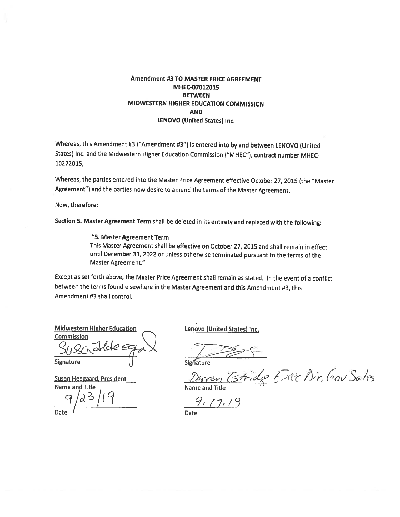#### **Amendment #3 TO MASTER PRICE AGREEMENT** MHEC-07012015 **BETWEEN** MIDWESTERN HIGHER EDUCATION COMMISSION **AND LENOVO (United States) Inc.**

Whereas, this Amendment #3 ("Amendment #3") is entered into by and between LENOVO (United States) Inc. and the Midwestern Higher Education Commission ("MHEC"), contract number MHEC-10272015,

Whereas, the parties entered into the Master Price Agreement effective October 27, 2015 (the "Master Agreement") and the parties now desire to amend the terms of the Master Agreement.

Now, therefore:

Section 5. Master Agreement Term shall be deleted in its entirety and replaced with the following:

#### "5. Master Agreement Term

This Master Agreement shall be effective on October 27, 2015 and shall remain in effect until December 31, 2022 or unless otherwise terminated pursuant to the terms of the Master Agreement."

Except as set forth above, the Master Price Agreement shall remain as stated. In the event of a conflict between the terms found elsewhere in the Master Agreement and this Amendment #3, this Amendment #3 shall control.

**Midwestern Higher Education** Commission

Signature

**Susan Heegaard, President** Name and Title

Lenovo (United States) Inc.

Signature

Disven Estridge Exec. Dir, Gou Sales

 $9.17.19$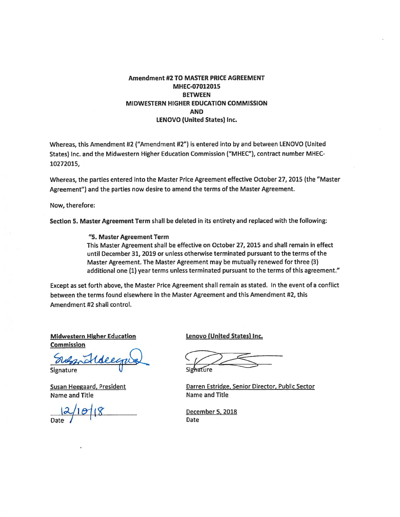#### **Amendment #2 TO MASTER PRICE AGREEMENT** MHEC-07012015 **BETWEEN** MIDWESTERN HIGHER EDUCATION COMMISSION **AND LENOVO (United States) Inc.**

Whereas, this Amendment #2 ("Amendment #2") is entered into by and between LENOVO (United States) Inc. and the Midwestern Higher Education Commission ("MHEC"), contract number MHEC-10272015.

Whereas, the parties entered into the Master Price Agreement effective October 27, 2015 (the "Master Agreement") and the parties now desire to amend the terms of the Master Agreement.

Now, therefore:

Section 5. Master Agreement Term shall be deleted in its entirety and replaced with the following:

"5. Master Agreement Term This Master Agreement shall be effective on October 27, 2015 and shall remain in effect until December 31, 2019 or unless otherwise terminated pursuant to the terms of the Master Agreement. The Master Agreement may be mutually renewed for three (3) additional one (1) year terms unless terminated pursuant to the terms of this agreement."

Except as set forth above, the Master Price Agreement shall remain as stated. In the event of a conflict between the terms found elsewhere in the Master Agreement and this Amendment #2, this Amendment #2 shall control.

**Midwestern Higher Education Commission** 

**Signature** 

**Susan Heegaard, President Name and Title** 

 $1018$ 

Lenovo (United States) Inc.

Darren Estridge, Senior Director, Public Sector **Name and Title** 

December 5, 2018 **Date**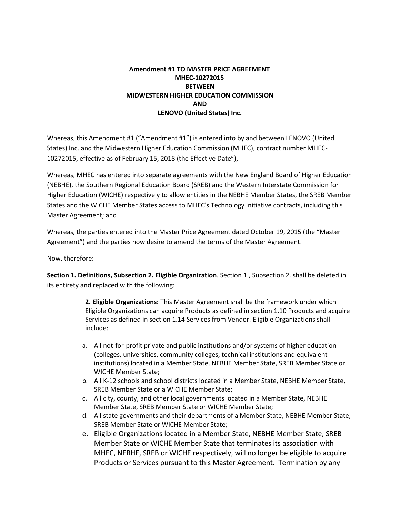#### **Amendment #1 TO MASTER PRICE AGREEMENT MHEC-10272015 BETWEEN MIDWESTERN HIGHER EDUCATION COMMISSION AND LENOVO (United States) Inc.**

Whereas, this Amendment #1 ("Amendment #1") is entered into by and between LENOVO (United States) Inc. and the Midwestern Higher Education Commission (MHEC), contract number MHEC-10272015, effective as of February 15, 2018 (the Effective Date"),

Whereas, MHEC has entered into separate agreements with the New England Board of Higher Education (NEBHE), the Southern Regional Education Board (SREB) and the Western Interstate Commission for Higher Education (WICHE) respectively to allow entities in the NEBHE Member States, the SREB Member States and the WICHE Member States access to MHEC's Technology Initiative contracts, including this Master Agreement; and

Whereas, the parties entered into the Master Price Agreement dated October 19, 2015 (the "Master Agreement") and the parties now desire to amend the terms of the Master Agreement.

Now, therefore:

**Section 1. Definitions, Subsection 2. Eligible Organization**. Section 1., Subsection 2. shall be deleted in its entirety and replaced with the following:

> **2. Eligible Organizations:** This Master Agreement shall be the framework under which Eligible Organizations can acquire Products as defined in section 1.10 Products and acquire Services as defined in section 1.14 Services from Vendor. Eligible Organizations shall include:

- a. All not-for-profit private and public institutions and/or systems of higher education (colleges, universities, community colleges, technical institutions and equivalent institutions) located in a Member State, NEBHE Member State, SREB Member State or WICHE Member State;
- b. All K-12 schools and school districts located in a Member State, NEBHE Member State, SREB Member State or a WICHE Member State;
- c. All city, county, and other local governments located in a Member State, NEBHE Member State, SREB Member State or WICHE Member State;
- d. All state governments and their departments of a Member State, NEBHE Member State, SREB Member State or WICHE Member State;
- e. Eligible Organizations located in a Member State, NEBHE Member State, SREB Member State or WICHE Member State that terminates its association with MHEC, NEBHE, SREB or WICHE respectively, will no longer be eligible to acquire Products or Services pursuant to this Master Agreement. Termination by any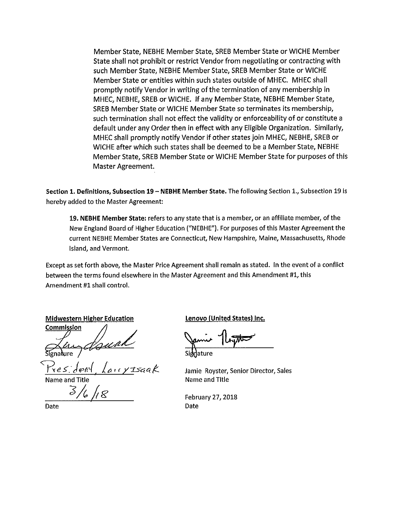Member State, NEBHE Member State, SREB Member State or WICHE Member State shall not prohibit or restrict Vendor from negotiating or contracting with such Member State. NEBHE Member State. SREB Member State or WICHE Member State or entities within such states outside of MHEC. MHEC shall promptly notify Vendor in writing of the termination of any membership in MHEC, NEBHE, SREB or WICHE. If any Member State, NEBHE Member State, SREB Member State or WICHE Member State so terminates its membership, such termination shall not effect the validity or enforceability of or constitute a default under any Order then in effect with any Eligible Organization. Similarly, MHEC shall promptly notify Vendor if other states join MHEC, NEBHE, SREB or WICHE after which such states shall be deemed to be a Member State, NEBHE Member State, SREB Member State or WICHE Member State for purposes of this Master Agreement.

Section 1. Definitions, Subsection 19 - NEBHE Member State. The following Section 1., Subsection 19 is hereby added to the Master Agreement:

19. NEBHE Member State: refers to any state that is a member, or an affiliate member, of the New England Board of Higher Education ("NEBHE"). For purposes of this Master Agreement the current NEBHE Member States are Connecticut, New Hampshire, Maine, Massachusetts, Rhode Island, and Vermont.

Except as set forth above, the Master Price Agreement shall remain as stated. In the event of a conflict between the terms found elsewhere in the Master Agreement and this Amendment #1, this Amendment #1 shall control.

**Midwestern Higher Education** Commission

Fres deny

 $3/6$ 

Date

Lenovo (United States) Inc.

Jamie Royster, Senior Director, Sales Name and Title

February 27, 2018 Date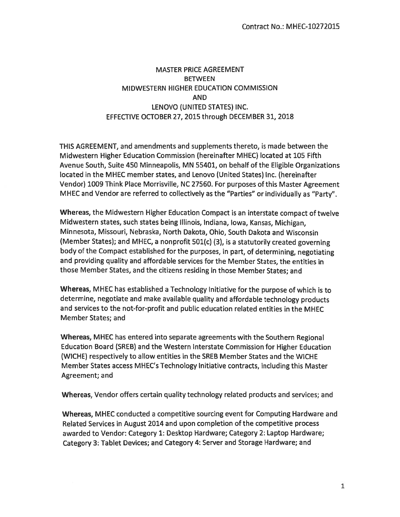# **MASTER PRICE AGREEMENT BETWEEN** MIDWESTERN HIGHER EDUCATION COMMISSION **AND** LENOVO (UNITED STATES) INC. EFFECTIVE OCTOBER 27, 2015 through DECEMBER 31, 2018

THIS AGREEMENT, and amendments and supplements thereto, is made between the Midwestern Higher Education Commission (hereinafter MHEC) located at 105 Fifth Avenue South, Suite 450 Minneapolis, MN 55401, on behalf of the Eligible Organizations located in the MHEC member states, and Lenovo (United States) Inc. (hereinafter Vendor) 1009 Think Place Morrisville, NC 27560. For purposes of this Master Agreement MHEC and Vendor are referred to collectively as the "Parties" or individually as "Party".

Whereas, the Midwestern Higher Education Compact is an interstate compact of twelve Midwestern states, such states being Illinois, Indiana, Iowa, Kansas, Michigan, Minnesota, Missouri, Nebraska, North Dakota, Ohio, South Dakota and Wisconsin (Member States); and MHEC, a nonprofit 501(c) (3), is a statutorily created governing body of the Compact established for the purposes, in part, of determining, negotiating and providing quality and affordable services for the Member States, the entities in those Member States, and the citizens residing in those Member States; and

Whereas, MHEC has established a Technology Initiative for the purpose of which is to determine, negotiate and make available quality and affordable technology products and services to the not-for-profit and public education related entities in the MHEC Member States; and

Whereas, MHEC has entered into separate agreements with the Southern Regional Education Board (SREB) and the Western Interstate Commission for Higher Education (WICHE) respectively to allow entities in the SREB Member States and the WICHE Member States access MHEC's Technology Initiative contracts, including this Master Agreement; and

Whereas, Vendor offers certain quality technology related products and services; and

Whereas, MHEC conducted a competitive sourcing event for Computing Hardware and Related Services in August 2014 and upon completion of the competitive process awarded to Vendor: Category 1: Desktop Hardware; Category 2: Laptop Hardware; Category 3: Tablet Devices; and Category 4: Server and Storage Hardware; and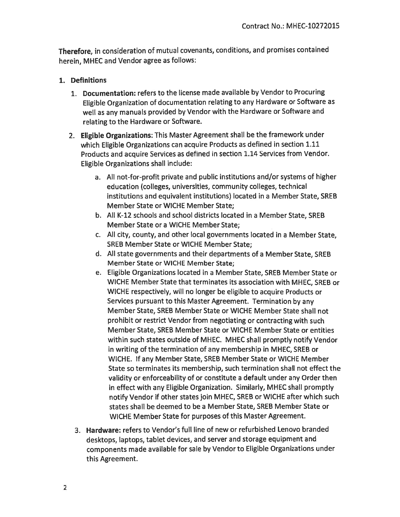Therefore, in consideration of mutual covenants, conditions, and promises contained herein, MHEC and Vendor agree as follows:

### 1. Definitions

- 1. Documentation: refers to the license made available by Vendor to Procuring Eligible Organization of documentation relating to any Hardware or Software as well as any manuals provided by Vendor with the Hardware or Software and relating to the Hardware or Software.
- 2. Eligible Organizations: This Master Agreement shall be the framework under which Eligible Organizations can acquire Products as defined in section 1.11 Products and acquire Services as defined in section 1.14 Services from Vendor. Eligible Organizations shall include:
	- a. All not-for-profit private and public institutions and/or systems of higher education (colleges, universities, community colleges, technical institutions and equivalent institutions) located in a Member State, SREB Member State or WICHE Member State;
	- b. All K-12 schools and school districts located in a Member State, SREB Member State or a WICHE Member State;
	- c. All city, county, and other local governments located in a Member State, **SREB Member State or WICHE Member State:**
	- d. All state governments and their departments of a Member State, SREB Member State or WICHE Member State;
	- e. Eligible Organizations located in a Member State, SREB Member State or WICHE Member State that terminates its association with MHEC, SREB or WICHE respectively, will no longer be eligible to acquire Products or Services pursuant to this Master Agreement. Termination by any Member State, SREB Member State or WICHE Member State shall not prohibit or restrict Vendor from negotiating or contracting with such Member State, SREB Member State or WICHE Member State or entities within such states outside of MHEC. MHEC shall promptly notify Vendor in writing of the termination of any membership in MHEC, SREB or WICHE. If any Member State, SREB Member State or WICHE Member State so terminates its membership, such termination shall not effect the validity or enforceability of or constitute a default under any Order then in effect with any Eligible Organization. Similarly, MHEC shall promptly notify Vendor if other states join MHEC, SREB or WICHE after which such states shall be deemed to be a Member State, SREB Member State or WICHE Member State for purposes of this Master Agreement.
	- 3. Hardware: refers to Vendor's full line of new or refurbished Lenovo branded desktops, laptops, tablet devices, and server and storage equipment and components made available for sale by Vendor to Eligible Organizations under this Agreement.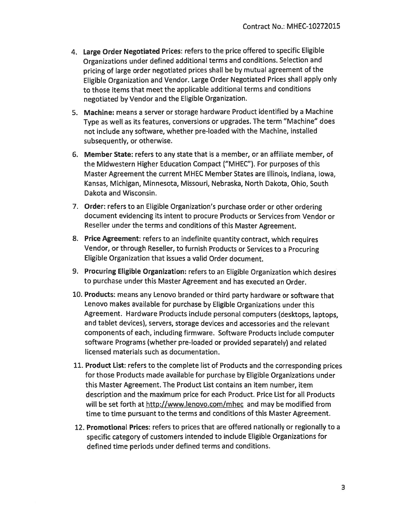- 4. Large Order Negotiated Prices: refers to the price offered to specific Eligible Organizations under defined additional terms and conditions. Selection and pricing of large order negotiated prices shall be by mutual agreement of the Eligible Organization and Vendor. Large Order Negotiated Prices shall apply only to those items that meet the applicable additional terms and conditions negotiated by Vendor and the Eligible Organization.
- 5. Machine: means a server or storage hardware Product identified by a Machine Type as well as its features, conversions or upgrades. The term "Machine" does not include any software, whether pre-loaded with the Machine, installed subsequently, or otherwise.
- 6. Member State: refers to any state that is a member, or an affiliate member, of the Midwestern Higher Education Compact ("MHEC"). For purposes of this Master Agreement the current MHEC Member States are Illinois, Indiana, Iowa, Kansas, Michigan, Minnesota, Missouri, Nebraska, North Dakota, Ohio, South Dakota and Wisconsin.
- 7. Order: refers to an Eligible Organization's purchase order or other ordering document evidencing its intent to procure Products or Services from Vendor or Reseller under the terms and conditions of this Master Agreement.
- 8. Price Agreement: refers to an indefinite quantity contract, which requires Vendor, or through Reseller, to furnish Products or Services to a Procuring Eligible Organization that issues a valid Order document.
- 9. Procuring Eligible Organization: refers to an Eligible Organization which desires to purchase under this Master Agreement and has executed an Order.
- 10. Products: means any Lenovo branded or third party hardware or software that Lenovo makes available for purchase by Eligible Organizations under this Agreement. Hardware Products include personal computers (desktops, laptops, and tablet devices), servers, storage devices and accessories and the relevant components of each, including firmware. Software Products include computer software Programs (whether pre-loaded or provided separately) and related licensed materials such as documentation.
- 11. Product List: refers to the complete list of Products and the corresponding prices for those Products made available for purchase by Eligible Organizations under this Master Agreement. The Product List contains an item number, item description and the maximum price for each Product. Price List for all Products will be set forth at http://www.lenovo.com/mhec and may be modified from time to time pursuant to the terms and conditions of this Master Agreement.
- 12. Promotional Prices: refers to prices that are offered nationally or regionally to a specific category of customers intended to include Eligible Organizations for defined time periods under defined terms and conditions.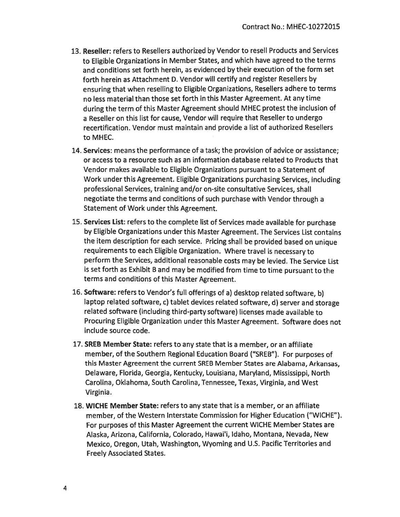- 13. Reseller: refers to Resellers authorized by Vendor to resell Products and Services to Eligible Organizations in Member States, and which have agreed to the terms and conditions set forth herein, as evidenced by their execution of the form set forth herein as Attachment D. Vendor will certify and register Resellers by ensuring that when reselling to Eligible Organizations, Resellers adhere to terms no less material than those set forth in this Master Agreement. At any time during the term of this Master Agreement should MHEC protest the inclusion of a Reseller on this list for cause, Vendor will require that Reseller to undergo recertification. Vendor must maintain and provide a list of authorized Resellers to MHEC.
- 14. Services: means the performance of a task; the provision of advice or assistance; or access to a resource such as an information database related to Products that Vendor makes available to Eligible Organizations pursuant to a Statement of Work under this Agreement. Eligible Organizations purchasing Services, including professional Services, training and/or on-site consultative Services, shall negotiate the terms and conditions of such purchase with Vendor through a Statement of Work under this Agreement.
- 15. Services List: refers to the complete list of Services made available for purchase by Eligible Organizations under this Master Agreement. The Services List contains the item description for each service. Pricing shall be provided based on unique requirements to each Eligible Organization. Where travel is necessary to perform the Services, additional reasonable costs may be levied. The Service List is set forth as Exhibit B and may be modified from time to time pursuant to the terms and conditions of this Master Agreement.
- 16. Software: refers to Vendor's full offerings of a) desktop related software, b) laptop related software, c) tablet devices related software, d) server and storage related software (including third-party software) licenses made available to Procuring Eligible Organization under this Master Agreement. Software does not include source code.
- 17. SREB Member State: refers to any state that is a member, or an affiliate member, of the Southern Regional Education Board ("SREB"). For purposes of this Master Agreement the current SREB Member States are Alabama, Arkansas, Delaware, Florida, Georgia, Kentucky, Louisiana, Maryland, Mississippi, North Carolina, Oklahoma, South Carolina, Tennessee, Texas, Virginia, and West Virginia.
- 18. WICHE Member State: refers to any state that is a member, or an affiliate member, of the Western Interstate Commission for Higher Education ("WICHE"). For purposes of this Master Agreement the current WICHE Member States are Alaska, Arizona, California, Colorado, Hawai'i, Idaho, Montana, Nevada, New Mexico, Oregon, Utah, Washington, Wyoming and U.S. Pacific Territories and **Freely Associated States.**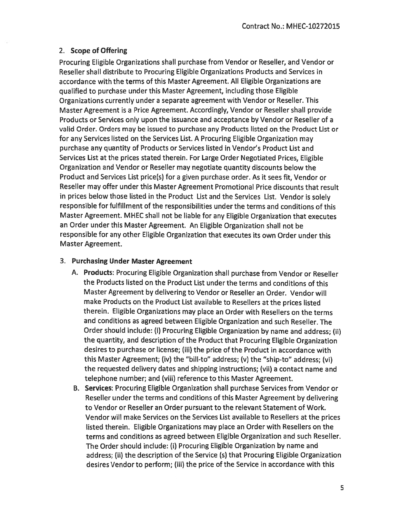### 2. Scope of Offering

Procuring Eligible Organizations shall purchase from Vendor or Reseller, and Vendor or Reseller shall distribute to Procuring Eligible Organizations Products and Services in accordance with the terms of this Master Agreement. All Eligible Organizations are qualified to purchase under this Master Agreement, including those Eligible Organizations currently under a separate agreement with Vendor or Reseller. This Master Agreement is a Price Agreement. Accordingly, Vendor or Reseller shall provide Products or Services only upon the issuance and acceptance by Vendor or Reseller of a valid Order. Orders may be issued to purchase any Products listed on the Product List or for any Services listed on the Services List. A Procuring Eligible Organization may purchase any quantity of Products or Services listed in Vendor's Product List and Services List at the prices stated therein. For Large Order Negotiated Prices, Eligible Organization and Vendor or Reseller may negotiate quantity discounts below the Product and Services List price(s) for a given purchase order. As it sees fit, Vendor or Reseller may offer under this Master Agreement Promotional Price discounts that result in prices below those listed in the Product List and the Services List. Vendor is solely responsible for fulfillment of the responsibilities under the terms and conditions of this Master Agreement. MHEC shall not be liable for any Eligible Organization that executes an Order under this Master Agreement. An Eligible Organization shall not be responsible for any other Eligible Organization that executes its own Order under this Master Agreement.

### 3. Purchasing Under Master Agreement

- A. Products: Procuring Eligible Organization shall purchase from Vendor or Reseller the Products listed on the Product List under the terms and conditions of this Master Agreement by delivering to Vendor or Reseller an Order. Vendor will make Products on the Product List available to Resellers at the prices listed therein. Eligible Organizations may place an Order with Resellers on the terms and conditions as agreed between Eligible Organization and such Reseller. The Order should include: (i) Procuring Eligible Organization by name and address; (ii) the quantity, and description of the Product that Procuring Eligible Organization desires to purchase or license; (iii) the price of the Product in accordance with this Master Agreement; (iv) the "bill-to" address; (v) the "ship-to" address: (vi) the requested delivery dates and shipping instructions; (vii) a contact name and telephone number; and (viii) reference to this Master Agreement.
- B. Services: Procuring Eligible Organization shall purchase Services from Vendor or Reseller under the terms and conditions of this Master Agreement by delivering to Vendor or Reseller an Order pursuant to the relevant Statement of Work. Vendor will make Services on the Services List available to Resellers at the prices listed therein. Eligible Organizations may place an Order with Resellers on the terms and conditions as agreed between Eligible Organization and such Reseller. The Order should include: (i) Procuring Eligible Organization by name and address; (ii) the description of the Service (s) that Procuring Eligible Organization desires Vendor to perform; (iii) the price of the Service in accordance with this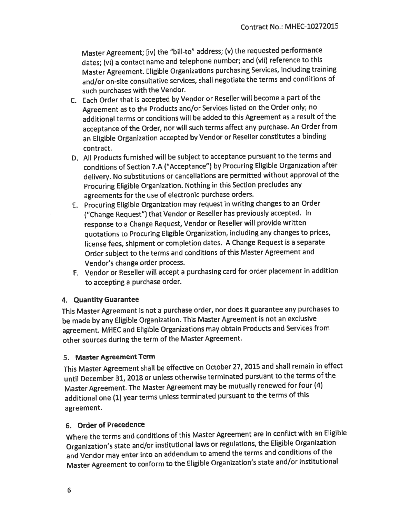Master Agreement; (iv) the "bill-to" address; (v) the requested performance dates; (vi) a contact name and telephone number; and (vii) reference to this Master Agreement. Eligible Organizations purchasing Services, including training and/or on-site consultative services, shall negotiate the terms and conditions of such purchases with the Vendor.

- C. Each Order that is accepted by Vendor or Reseller will become a part of the Agreement as to the Products and/or Services listed on the Order only; no additional terms or conditions will be added to this Agreement as a result of the acceptance of the Order, nor will such terms affect any purchase. An Order from an Eligible Organization accepted by Vendor or Reseller constitutes a binding contract.
- D. All Products furnished will be subject to acceptance pursuant to the terms and conditions of Section 7.A ("Acceptance") by Procuring Eligible Organization after delivery. No substitutions or cancellations are permitted without approval of the Procuring Eligible Organization. Nothing in this Section precludes any agreements for the use of electronic purchase orders.
- E. Procuring Eligible Organization may request in writing changes to an Order ("Change Request") that Vendor or Reseller has previously accepted. In response to a Change Request, Vendor or Reseller will provide written quotations to Procuring Eligible Organization, including any changes to prices, license fees, shipment or completion dates. A Change Request is a separate Order subject to the terms and conditions of this Master Agreement and Vendor's change order process.
- F. Vendor or Reseller will accept a purchasing card for order placement in addition to accepting a purchase order.

### 4. Quantity Guarantee

This Master Agreement is not a purchase order, nor does it guarantee any purchases to be made by any Eligible Organization. This Master Agreement is not an exclusive agreement. MHEC and Eligible Organizations may obtain Products and Services from other sources during the term of the Master Agreement.

# 5. Master Agreement Term

This Master Agreement shall be effective on October 27, 2015 and shall remain in effect until December 31, 2018 or unless otherwise terminated pursuant to the terms of the Master Agreement. The Master Agreement may be mutually renewed for four (4) additional one (1) year terms unless terminated pursuant to the terms of this agreement.

# 6. Order of Precedence

Where the terms and conditions of this Master Agreement are in conflict with an Eligible Organization's state and/or institutional laws or regulations, the Eligible Organization and Vendor may enter into an addendum to amend the terms and conditions of the Master Agreement to conform to the Eligible Organization's state and/or institutional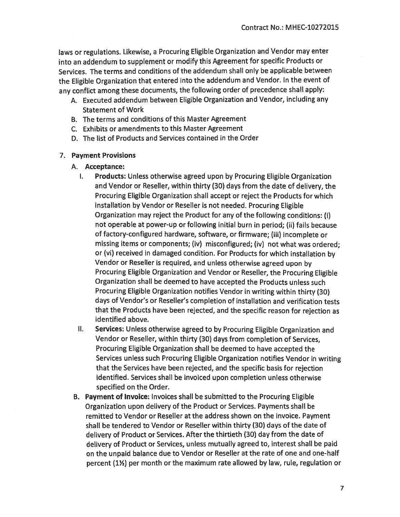laws or regulations. Likewise, a Procuring Eligible Organization and Vendor may enter into an addendum to supplement or modify this Agreement for specific Products or Services. The terms and conditions of the addendum shall only be applicable between the Eligible Organization that entered into the addendum and Vendor. In the event of any conflict among these documents, the following order of precedence shall apply:

- A. Executed addendum between Eligible Organization and Vendor, including any **Statement of Work**
- B. The terms and conditions of this Master Agreement
- C. Exhibits or amendments to this Master Agreement
- D. The list of Products and Services contained in the Order

#### 7. Payment Provisions

- A. Acceptance:
	- **Products:** Unless otherwise agreed upon by Procuring Eligible Organization Ι. and Vendor or Reseller, within thirty (30) days from the date of delivery, the Procuring Eligible Organization shall accept or reject the Products for which installation by Vendor or Reseller is not needed. Procuring Eligible Organization may reject the Product for any of the following conditions: (i) not operable at power-up or following initial burn in period; (ii) fails because of factory-configured hardware, software, or firmware; (iii) incomplete or missing items or components; (iv) misconfigured; (iv) not what was ordered; or (vi) received in damaged condition. For Products for which installation by Vendor or Reseller is required, and unless otherwise agreed upon by Procuring Eligible Organization and Vendor or Reseller, the Procuring Eligible Organization shall be deemed to have accepted the Products unless such Procuring Eligible Organization notifies Vendor in writing within thirty (30) days of Vendor's or Reseller's completion of installation and verification tests that the Products have been rejected, and the specific reason for rejection as identified above.
	- Services: Unless otherwise agreed to by Procuring Eligible Organization and II. Vendor or Reseller, within thirty (30) days from completion of Services, Procuring Eligible Organization shall be deemed to have accepted the Services unless such Procuring Eligible Organization notifies Vendor in writing that the Services have been rejected, and the specific basis for rejection identified. Services shall be invoiced upon completion unless otherwise specified on the Order.
- B. Payment of Invoice: Invoices shall be submitted to the Procuring Eligible Organization upon delivery of the Product or Services. Payments shall be remitted to Vendor or Reseller at the address shown on the invoice. Payment shall be tendered to Vendor or Reseller within thirty (30) days of the date of delivery of Product or Services. After the thirtieth (30) day from the date of delivery of Product or Services, unless mutually agreed to, interest shall be paid on the unpaid balance due to Vendor or Reseller at the rate of one and one-half percent (1½) per month or the maximum rate allowed by law, rule, regulation or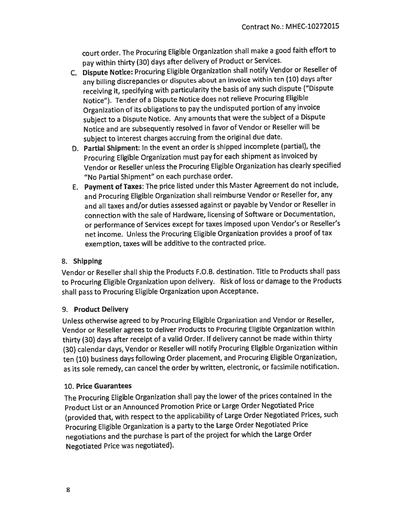court order. The Procuring Eligible Organization shall make a good faith effort to pay within thirty (30) days after delivery of Product or Services.

- C. Dispute Notice: Procuring Eligible Organization shall notify Vendor or Reseller of any billing discrepancies or disputes about an invoice within ten (10) days after receiving it, specifying with particularity the basis of any such dispute ("Dispute Notice"). Tender of a Dispute Notice does not relieve Procuring Eligible Organization of its obligations to pay the undisputed portion of any invoice subject to a Dispute Notice. Any amounts that were the subject of a Dispute Notice and are subsequently resolved in favor of Vendor or Reseller will be subject to interest charges accruing from the original due date.
- D. Partial Shipment: In the event an order is shipped incomplete (partial), the Procuring Eligible Organization must pay for each shipment as invoiced by Vendor or Reseller unless the Procuring Eligible Organization has clearly specified "No Partial Shipment" on each purchase order.
- E. Payment of Taxes: The price listed under this Master Agreement do not include, and Procuring Eligible Organization shall reimburse Vendor or Reseller for, any and all taxes and/or duties assessed against or payable by Vendor or Reseller in connection with the sale of Hardware, licensing of Software or Documentation, or performance of Services except for taxes imposed upon Vendor's or Reseller's net income. Unless the Procuring Eligible Organization provides a proof of tax exemption, taxes will be additive to the contracted price.

# 8. Shipping

Vendor or Reseller shall ship the Products F.O.B. destination. Title to Products shall pass to Procuring Eligible Organization upon delivery. Risk of loss or damage to the Products shall pass to Procuring Eligible Organization upon Acceptance.

# 9. Product Delivery

Unless otherwise agreed to by Procuring Eligible Organization and Vendor or Reseller, Vendor or Reseller agrees to deliver Products to Procuring Eligible Organization within thirty (30) days after receipt of a valid Order. If delivery cannot be made within thirty (30) calendar days, Vendor or Reseller will notify Procuring Eligible Organization within ten (10) business days following Order placement, and Procuring Eligible Organization, as its sole remedy, can cancel the order by written, electronic, or facsimile notification.

# 10. Price Guarantees

The Procuring Eligible Organization shall pay the lower of the prices contained in the Product List or an Announced Promotion Price or Large Order Negotiated Price (provided that, with respect to the applicability of Large Order Negotiated Prices, such Procuring Eligible Organization is a party to the Large Order Negotiated Price negotiations and the purchase is part of the project for which the Large Order Negotiated Price was negotiated).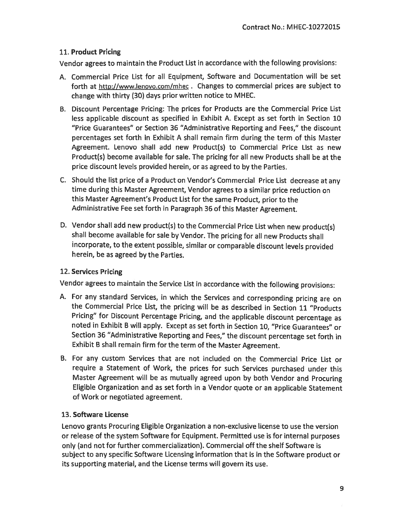# 11. Product Pricing

Vendor agrees to maintain the Product List in accordance with the following provisions:

- A. Commercial Price List for all Equipment, Software and Documentation will be set forth at http://www.lenovo.com/mhec. Changes to commercial prices are subject to change with thirty (30) days prior written notice to MHEC.
- B. Discount Percentage Pricing: The prices for Products are the Commercial Price List less applicable discount as specified in Exhibit A. Except as set forth in Section 10 "Price Guarantees" or Section 36 "Administrative Reporting and Fees," the discount percentages set forth in Exhibit A shall remain firm during the term of this Master Agreement. Lenovo shall add new Product(s) to Commercial Price List as new Product(s) become available for sale. The pricing for all new Products shall be at the price discount levels provided herein, or as agreed to by the Parties.
- C. Should the list price of a Product on Vendor's Commercial Price List decrease at any time during this Master Agreement, Vendor agrees to a similar price reduction on this Master Agreement's Product List for the same Product, prior to the Administrative Fee set forth in Paragraph 36 of this Master Agreement.
- D. Vendor shall add new product(s) to the Commercial Price List when new product(s) shall become available for sale by Vendor. The pricing for all new Products shall incorporate, to the extent possible, similar or comparable discount levels provided herein, be as agreed by the Parties.

# 12. Services Pricing

Vendor agrees to maintain the Service List in accordance with the following provisions:

- A. For any standard Services, in which the Services and corresponding pricing are on the Commercial Price List, the pricing will be as described in Section 11 "Products Pricing" for Discount Percentage Pricing, and the applicable discount percentage as noted in Exhibit B will apply. Except as set forth in Section 10, "Price Guarantees" or Section 36 "Administrative Reporting and Fees," the discount percentage set forth in Exhibit B shall remain firm for the term of the Master Agreement.
- B. For any custom Services that are not included on the Commercial Price List or require a Statement of Work, the prices for such Services purchased under this Master Agreement will be as mutually agreed upon by both Vendor and Procuring Eligible Organization and as set forth in a Vendor quote or an applicable Statement of Work or negotiated agreement.

# 13. Software License

Lenovo grants Procuring Eligible Organization a non-exclusive license to use the version or release of the system Software for Equipment. Permitted use is for internal purposes only (and not for further commercialization). Commercial off the shelf Software is subject to any specific Software Licensing information that is in the Software product or its supporting material, and the License terms will govern its use.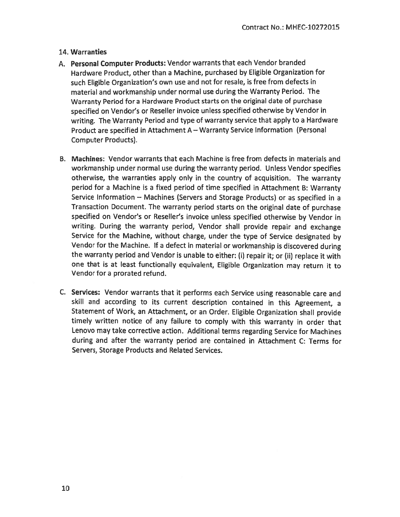# 14. Warranties

- A. Personal Computer Products: Vendor warrants that each Vendor branded Hardware Product, other than a Machine, purchased by Eligible Organization for such Eligible Organization's own use and not for resale, is free from defects in material and workmanship under normal use during the Warranty Period. The Warranty Period for a Hardware Product starts on the original date of purchase specified on Vendor's or Reseller invoice unless specified otherwise by Vendor in writing. The Warranty Period and type of warranty service that apply to a Hardware Product are specified in Attachment A - Warranty Service Information (Personal **Computer Products).**
- B. Machines: Vendor warrants that each Machine is free from defects in materials and workmanship under normal use during the warranty period. Unless Vendor specifies otherwise, the warranties apply only in the country of acquisition. The warranty period for a Machine is a fixed period of time specified in Attachment B: Warranty Service Information - Machines (Servers and Storage Products) or as specified in a Transaction Document. The warranty period starts on the original date of purchase specified on Vendor's or Reseller's invoice unless specified otherwise by Vendor in writing. During the warranty period, Vendor shall provide repair and exchange Service for the Machine, without charge, under the type of Service designated by Vendor for the Machine. If a defect in material or workmanship is discovered during the warranty period and Vendor is unable to either: (i) repair it; or (ii) replace it with one that is at least functionally equivalent, Eligible Organization may return it to Vendor for a prorated refund.
- C. Services: Vendor warrants that it performs each Service using reasonable care and skill and according to its current description contained in this Agreement, a Statement of Work, an Attachment, or an Order. Eligible Organization shall provide timely written notice of any failure to comply with this warranty in order that Lenovo may take corrective action. Additional terms regarding Service for Machines during and after the warranty period are contained in Attachment C: Terms for Servers, Storage Products and Related Services.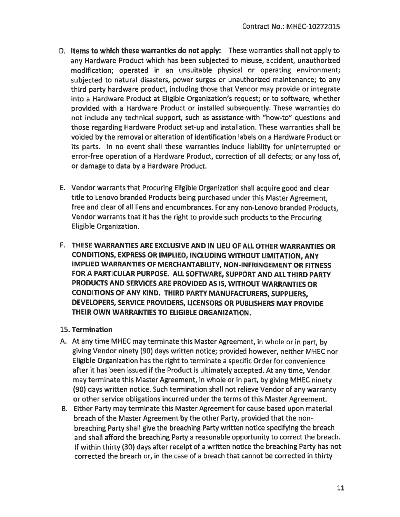- D. Items to which these warranties do not apply: These warranties shall not apply to any Hardware Product which has been subjected to misuse, accident, unauthorized modification: operated in an unsuitable physical or operating environment: subjected to natural disasters, power surges or unauthorized maintenance; to any third party hardware product, including those that Vendor may provide or integrate into a Hardware Product at Eligible Organization's request; or to software, whether provided with a Hardware Product or installed subsequently. These warranties do not include any technical support, such as assistance with "how-to" questions and those regarding Hardware Product set-up and installation. These warranties shall be voided by the removal or alteration of identification labels on a Hardware Product or its parts. In no event shall these warranties include liability for uninterrupted or error-free operation of a Hardware Product, correction of all defects; or any loss of. or damage to data by a Hardware Product.
- E. Vendor warrants that Procuring Eligible Organization shall acquire good and clear title to Lenovo branded Products being purchased under this Master Agreement. free and clear of all liens and encumbrances. For any non-Lenovo branded Products. Vendor warrants that it has the right to provide such products to the Procuring Eligible Organization.
- F. THESE WARRANTIES ARE EXCLUSIVE AND IN LIEU OF ALL OTHER WARRANTIES OR CONDITIONS, EXPRESS OR IMPLIED, INCLUDING WITHOUT LIMITATION, ANY IMPLIED WARRANTIES OF MERCHANTABILITY, NON-INFRINGEMENT OR FITNESS FOR A PARTICULAR PURPOSE. ALL SOFTWARE, SUPPORT AND ALL THIRD PARTY PRODUCTS AND SERVICES ARE PROVIDED AS IS, WITHOUT WARRANTIES OR CONDITIONS OF ANY KIND. THIRD PARTY MANUFACTURERS, SUPPLIERS, DEVELOPERS, SERVICE PROVIDERS, LICENSORS OR PUBLISHERS MAY PROVIDE THEIR OWN WARRANTIES TO ELIGIBLE ORGANIZATION.

### 15. Termination

- A. At any time MHEC may terminate this Master Agreement, in whole or in part, by giving Vendor ninety (90) days written notice; provided however, neither MHEC nor Eligible Organization has the right to terminate a specific Order for convenience after it has been issued if the Product is ultimately accepted. At any time, Vendor may terminate this Master Agreement, in whole or in part, by giving MHEC ninety (90) days written notice. Such termination shall not relieve Vendor of any warranty or other service obligations incurred under the terms of this Master Agreement.
- B. Either Party may terminate this Master Agreement for cause based upon material breach of the Master Agreement by the other Party, provided that the nonbreaching Party shall give the breaching Party written notice specifying the breach and shall afford the breaching Party a reasonable opportunity to correct the breach. If within thirty (30) days after receipt of a written notice the breaching Party has not corrected the breach or, in the case of a breach that cannot be corrected in thirty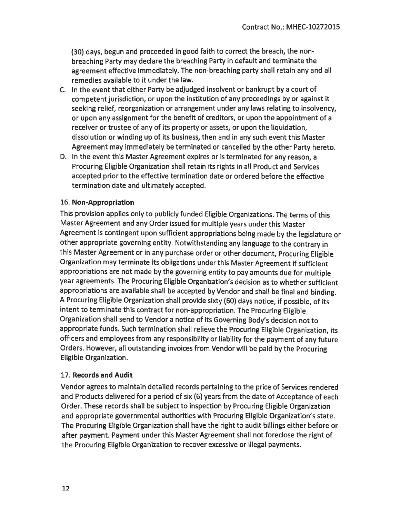(30) days, begun and proceeded in good faith to correct the breach, the nonbreaching Party may declare the breaching Party in default and terminate the agreement effective immediately. The non-breaching party shall retain any and all remedies available to it under the law.

- C. In the event that either Party be adjudged insolvent or bankrupt by a court of competent jurisdiction, or upon the institution of any proceedings by or against it seeking relief, reorganization or arrangement under any laws relating to insolvency, or upon any assignment for the benefit of creditors, or upon the appointment of a receiver or trustee of any of its property or assets, or upon the liquidation, dissolution or winding up of its business, then and in any such event this Master Agreement may immediately be terminated or cancelled by the other Party hereto.
- D. In the event this Master Agreement expires or is terminated for any reason, a Procuring Eligible Organization shall retain its rights in all Product and Services accepted prior to the effective termination date or ordered before the effective termination date and ultimately accepted.

# 16. Non-Appropriation

This provision applies only to publicly funded Eligible Organizations. The terms of this Master Agreement and any Order issued for multiple years under this Master Agreement is contingent upon sufficient appropriations being made by the legislature or other appropriate governing entity. Notwithstanding any language to the contrary in this Master Agreement or in any purchase order or other document, Procuring Eligible Organization may terminate its obligations under this Master Agreement if sufficient appropriations are not made by the governing entity to pay amounts due for multiple year agreements. The Procuring Eligible Organization's decision as to whether sufficient appropriations are available shall be accepted by Vendor and shall be final and binding. A Procuring Eligible Organization shall provide sixty (60) days notice, if possible, of its intent to terminate this contract for non-appropriation. The Procuring Eligible Organization shall send to Vendor a notice of its Governing Body's decision not to appropriate funds. Such termination shall relieve the Procuring Eligible Organization, its officers and employees from any responsibility or liability for the payment of any future Orders. However, all outstanding invoices from Vendor will be paid by the Procuring Eligible Organization.

### 17. Records and Audit

Vendor agrees to maintain detailed records pertaining to the price of Services rendered and Products delivered for a period of six (6) years from the date of Acceptance of each Order. These records shall be subject to inspection by Procuring Eligible Organization and appropriate governmental authorities with Procuring Eligible Organization's state. The Procuring Eligible Organization shall have the right to audit billings either before or after payment. Payment under this Master Agreement shall not foreclose the right of the Procuring Eligible Organization to recover excessive or illegal payments.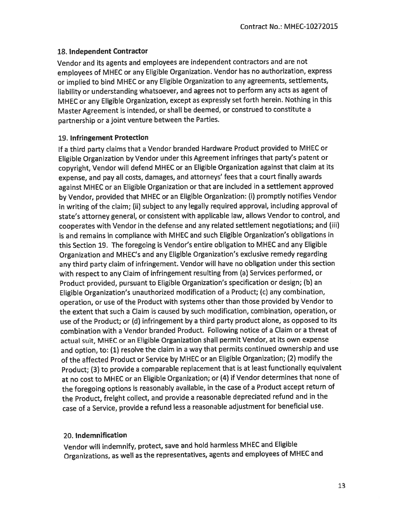### 18. Independent Contractor

Vendor and its agents and employees are independent contractors and are not employees of MHEC or any Eligible Organization. Vendor has no authorization, express or implied to bind MHEC or any Eligible Organization to any agreements, settlements, liability or understanding whatsoever, and agrees not to perform any acts as agent of MHEC or any Eligible Organization, except as expressly set forth herein. Nothing in this Master Agreement is intended, or shall be deemed, or construed to constitute a partnership or a joint venture between the Parties.

# 19. Infringement Protection

If a third party claims that a Vendor branded Hardware Product provided to MHEC or Eligible Organization by Vendor under this Agreement infringes that party's patent or copyright, Vendor will defend MHEC or an Eligible Organization against that claim at its expense, and pay all costs, damages, and attorneys' fees that a court finally awards against MHEC or an Eligible Organization or that are included in a settlement approved by Vendor, provided that MHEC or an Eligible Organization: (i) promptly notifies Vendor in writing of the claim; (ii) subject to any legally required approval, including approval of state's attorney general, or consistent with applicable law, allows Vendor to control, and cooperates with Vendor in the defense and any related settlement negotiations; and (iii) is and remains in compliance with MHEC and such Eligible Organization's obligations in this Section 19. The foregoing is Vendor's entire obligation to MHEC and any Eligible Organization and MHEC's and any Eligible Organization's exclusive remedy regarding any third party claim of infringement. Vendor will have no obligation under this section with respect to any Claim of infringement resulting from (a) Services performed, or Product provided, pursuant to Eligible Organization's specification or design; (b) an Eligible Organization's unauthorized modification of a Product; (c) any combination, operation, or use of the Product with systems other than those provided by Vendor to the extent that such a Claim is caused by such modification, combination, operation, or use of the Product; or (d) infringement by a third party product alone, as opposed to its combination with a Vendor branded Product. Following notice of a Claim or a threat of actual suit, MHEC or an Eligible Organization shall permit Vendor, at its own expense and option, to: (1) resolve the claim in a way that permits continued ownership and use of the affected Product or Service by MHEC or an Eligible Organization; (2) modify the Product; (3) to provide a comparable replacement that is at least functionally equivalent at no cost to MHEC or an Eligible Organization; or (4) if Vendor determines that none of the foregoing options is reasonably available, in the case of a Product accept return of the Product, freight collect, and provide a reasonable depreciated refund and in the case of a Service, provide a refund less a reasonable adjustment for beneficial use.

# 20. Indemnification

Vendor will indemnify, protect, save and hold harmless MHEC and Eligible Organizations, as well as the representatives, agents and employees of MHEC and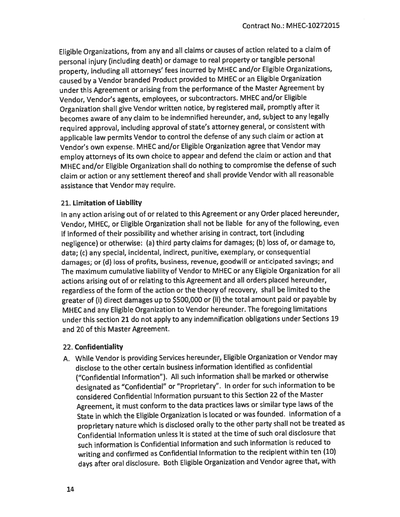Eligible Organizations, from any and all claims or causes of action related to a claim of personal injury (including death) or damage to real property or tangible personal property, including all attorneys' fees incurred by MHEC and/or Eligible Organizations, caused by a Vendor branded Product provided to MHEC or an Eligible Organization under this Agreement or arising from the performance of the Master Agreement by Vendor, Vendor's agents, employees, or subcontractors. MHEC and/or Eligible Organization shall give Vendor written notice, by registered mail, promptly after it becomes aware of any claim to be indemnified hereunder, and, subject to any legally required approval, including approval of state's attorney general, or consistent with applicable law permits Vendor to control the defense of any such claim or action at Vendor's own expense. MHEC and/or Eligible Organization agree that Vendor may employ attorneys of its own choice to appear and defend the claim or action and that MHEC and/or Eligible Organization shall do nothing to compromise the defense of such claim or action or any settlement thereof and shall provide Vendor with all reasonable assistance that Vendor may require.

#### 21. Limitation of Liability

In any action arising out of or related to this Agreement or any Order placed hereunder, Vendor, MHEC, or Eligible Organization shall not be liable for any of the following, even if informed of their possibility and whether arising in contract, tort (including negligence) or otherwise: (a) third party claims for damages; (b) loss of, or damage to, data; (c) any special, incidental, indirect, punitive, exemplary, or consequential damages; or (d) loss of profits, business, revenue, goodwill or anticipated savings; and The maximum cumulative liability of Vendor to MHEC or any Eligible Organization for all actions arising out of or relating to this Agreement and all orders placed hereunder, regardless of the form of the action or the theory of recovery, shall be limited to the greater of (i) direct damages up to \$500,000 or (ii) the total amount paid or payable by MHEC and any Eligible Organization to Vendor hereunder. The foregoing limitations under this section 21 do not apply to any indemnification obligations under Sections 19 and 20 of this Master Agreement.

#### 22. Confidentiality

A. While Vendor is providing Services hereunder, Eligible Organization or Vendor may disclose to the other certain business information identified as confidential ("Confidential Information"). All such information shall be marked or otherwise designated as "Confidential" or "Proprietary". In order for such information to be considered Confidential Information pursuant to this Section 22 of the Master Agreement, it must conform to the data practices laws or similar type laws of the State in which the Eligible Organization is located or was founded. Information of a proprietary nature which is disclosed orally to the other party shall not be treated as Confidential Information unless it is stated at the time of such oral disclosure that such information is Confidential Information and such information is reduced to writing and confirmed as Confidential Information to the recipient within ten (10) days after oral disclosure. Both Eligible Organization and Vendor agree that, with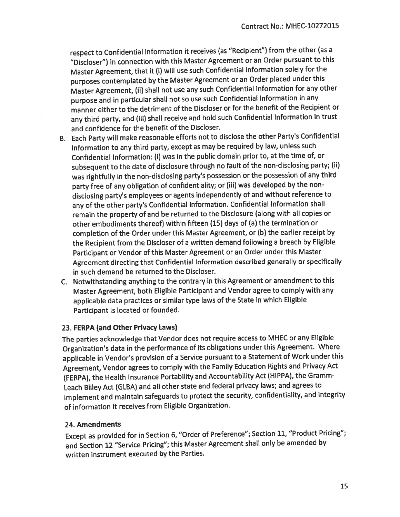respect to Confidential Information it receives (as "Recipient") from the other (as a "Discloser") in connection with this Master Agreement or an Order pursuant to this Master Agreement, that it (i) will use such Confidential Information solely for the purposes contemplated by the Master Agreement or an Order placed under this Master Agreement, (ii) shall not use any such Confidential Information for any other purpose and in particular shall not so use such Confidential Information in any manner either to the detriment of the Discloser or for the benefit of the Recipient or any third party, and (iii) shall receive and hold such Confidential Information in trust and confidence for the benefit of the Discloser.

- B. Each Party will make reasonable efforts not to disclose the other Party's Confidential Information to any third party, except as may be required by law, unless such Confidential Information: (i) was in the public domain prior to, at the time of, or subsequent to the date of disclosure through no fault of the non-disclosing party; (ii) was rightfully in the non-disclosing party's possession or the possession of any third party free of any obligation of confidentiality; or (iii) was developed by the nondisclosing party's employees or agents independently of and without reference to any of the other party's Confidential Information. Confidential Information shall remain the property of and be returned to the Disclosure (along with all copies or other embodiments thereof) within fifteen (15) days of (a) the termination or completion of the Order under this Master Agreement, or (b) the earlier receipt by the Recipient from the Discloser of a written demand following a breach by Eligible Participant or Vendor of this Master Agreement or an Order under this Master Agreement directing that Confidential Information described generally or specifically in such demand be returned to the Discloser.
- C. Notwithstanding anything to the contrary in this Agreement or amendment to this Master Agreement, both Eligible Participant and Vendor agree to comply with any applicable data practices or similar type laws of the State in which Eligible Participant is located or founded.

### 23. FERPA (and Other Privacy Laws)

The parties acknowledge that Vendor does not require access to MHEC or any Eligible Organization's data in the performance of its obligations under this Agreement. Where applicable in Vendor's provision of a Service pursuant to a Statement of Work under this Agreement, Vendor agrees to comply with the Family Education Rights and Privacy Act (FERPA), the Health Insurance Portability and Accountability Act (HIPPA), the Gramm-Leach Bliley Act (GLBA) and all other state and federal privacy laws; and agrees to implement and maintain safeguards to protect the security, confidentiality, and integrity of information it receives from Eligible Organization.

### 24. Amendments

Except as provided for in Section 6, "Order of Preference"; Section 11, "Product Pricing"; and Section 12 "Service Pricing"; this Master Agreement shall only be amended by written instrument executed by the Parties.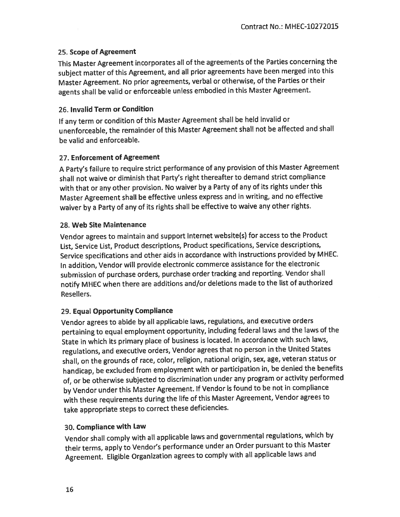### 25. Scope of Agreement

This Master Agreement incorporates all of the agreements of the Parties concerning the subject matter of this Agreement, and all prior agreements have been merged into this Master Agreement. No prior agreements, verbal or otherwise, of the Parties or their agents shall be valid or enforceable unless embodied in this Master Agreement.

# 26. Invalid Term or Condition

If any term or condition of this Master Agreement shall be held invalid or unenforceable, the remainder of this Master Agreement shall not be affected and shall be valid and enforceable.

# 27. Enforcement of Agreement

A Party's failure to require strict performance of any provision of this Master Agreement shall not waive or diminish that Party's right thereafter to demand strict compliance with that or any other provision. No waiver by a Party of any of its rights under this Master Agreement shall be effective unless express and in writing, and no effective waiver by a Party of any of its rights shall be effective to waive any other rights.

# 28. Web Site Maintenance

Vendor agrees to maintain and support internet website(s) for access to the Product List, Service List, Product descriptions, Product specifications, Service descriptions, Service specifications and other aids in accordance with instructions provided by MHEC. In addition, Vendor will provide electronic commerce assistance for the electronic submission of purchase orders, purchase order tracking and reporting. Vendor shall notify MHEC when there are additions and/or deletions made to the list of authorized Resellers.

# 29. Equal Opportunity Compliance

Vendor agrees to abide by all applicable laws, regulations, and executive orders pertaining to equal employment opportunity, including federal laws and the laws of the State in which its primary place of business is located. In accordance with such laws, regulations, and executive orders, Vendor agrees that no person in the United States shall, on the grounds of race, color, religion, national origin, sex, age, veteran status or handicap, be excluded from employment with or participation in, be denied the benefits of, or be otherwise subjected to discrimination under any program or activity performed by Vendor under this Master Agreement. If Vendor is found to be not in compliance with these requirements during the life of this Master Agreement, Vendor agrees to take appropriate steps to correct these deficiencies.

# 30. Compliance with Law

Vendor shall comply with all applicable laws and governmental regulations, which by their terms, apply to Vendor's performance under an Order pursuant to this Master Agreement. Eligible Organization agrees to comply with all applicable laws and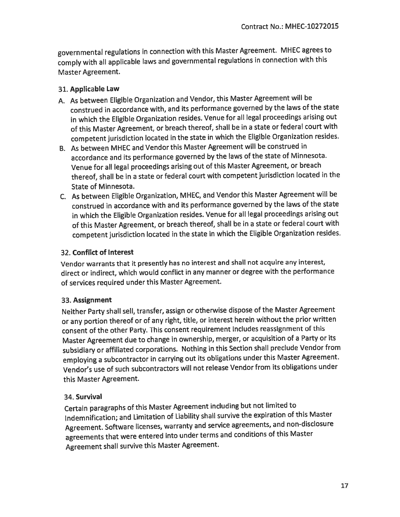governmental regulations in connection with this Master Agreement. MHEC agrees to comply with all applicable laws and governmental regulations in connection with this Master Agreement.

# 31. Applicable Law

- A. As between Eligible Organization and Vendor, this Master Agreement will be construed in accordance with, and its performance governed by the laws of the state in which the Eligible Organization resides. Venue for all legal proceedings arising out of this Master Agreement, or breach thereof, shall be in a state or federal court with competent jurisdiction located in the state in which the Eligible Organization resides.
- B. As between MHEC and Vendor this Master Agreement will be construed in accordance and its performance governed by the laws of the state of Minnesota. Venue for all legal proceedings arising out of this Master Agreement, or breach thereof, shall be in a state or federal court with competent jurisdiction located in the State of Minnesota.
- C. As between Eligible Organization, MHEC, and Vendor this Master Agreement will be construed in accordance with and its performance governed by the laws of the state in which the Eligible Organization resides. Venue for all legal proceedings arising out of this Master Agreement, or breach thereof, shall be in a state or federal court with competent jurisdiction located in the state in which the Eligible Organization resides.

# 32. Conflict of Interest

Vendor warrants that it presently has no interest and shall not acquire any interest, direct or indirect, which would conflict in any manner or degree with the performance of services required under this Master Agreement.

# 33. Assignment

Neither Party shall sell, transfer, assign or otherwise dispose of the Master Agreement or any portion thereof or of any right, title, or interest herein without the prior written consent of the other Party. This consent requirement includes reassignment of this Master Agreement due to change in ownership, merger, or acquisition of a Party or its subsidiary or affiliated corporations. Nothing in this Section shall preclude Vendor from employing a subcontractor in carrying out its obligations under this Master Agreement. Vendor's use of such subcontractors will not release Vendor from its obligations under this Master Agreement.

# 34. Survival

Certain paragraphs of this Master Agreement including but not limited to Indemnification; and Limitation of Liability shall survive the expiration of this Master Agreement. Software licenses, warranty and service agreements, and non-disclosure agreements that were entered into under terms and conditions of this Master Agreement shall survive this Master Agreement.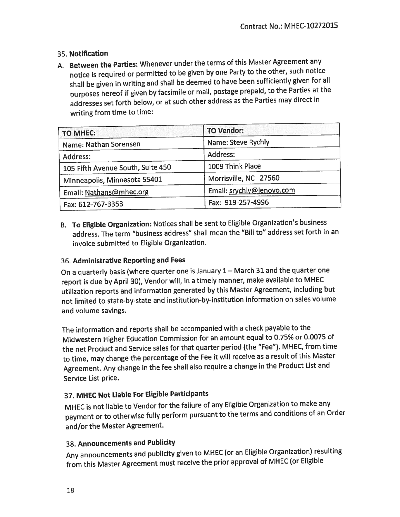# 35. Notification

A. Between the Parties: Whenever under the terms of this Master Agreement any notice is required or permitted to be given by one Party to the other, such notice shall be given in writing and shall be deemed to have been sufficiently given for all purposes hereof if given by facsimile or mail, postage prepaid, to the Parties at the addresses set forth below, or at such other address as the Parties may direct in writing from time to time:

| <b>TO MHEC:</b>                   | <b>TO Vendor:</b>         |
|-----------------------------------|---------------------------|
| Name: Nathan Sorensen             | Name: Steve Rychly        |
| Address:                          | Address:                  |
| 105 Fifth Avenue South, Suite 450 | 1009 Think Place          |
| Minneapolis, Minnesota 55401      | Morrisville, NC 27560     |
| Email: Nathans@mhec.org           | Email: srychly@lenovo.com |
| Fax: 612-767-3353                 | Fax: 919-257-4996         |

B. To Eligible Organization: Notices shall be sent to Eligible Organization's business address. The term "business address" shall mean the "Bill to" address set forth in an invoice submitted to Eligible Organization.

### 36. Administrative Reporting and Fees

On a quarterly basis (where quarter one is January 1 - March 31 and the quarter one report is due by April 30), Vendor will, in a timely manner, make available to MHEC utilization reports and information generated by this Master Agreement, including but not limited to state-by-state and institution-by-institution information on sales volume and volume savings.

The information and reports shall be accompanied with a check payable to the Midwestern Higher Education Commission for an amount equal to 0.75% or 0.0075 of the net Product and Service sales for that quarter period (the "Fee"). MHEC, from time to time, may change the percentage of the Fee it will receive as a result of this Master Agreement. Any change in the fee shall also require a change in the Product List and Service List price.

# 37. MHEC Not Liable For Eligible Participants

MHEC is not liable to Vendor for the failure of any Eligible Organization to make any payment or to otherwise fully perform pursuant to the terms and conditions of an Order and/or the Master Agreement.

# 38. Announcements and Publicity

Any announcements and publicity given to MHEC (or an Eligible Organization) resulting from this Master Agreement must receive the prior approval of MHEC (or Eligible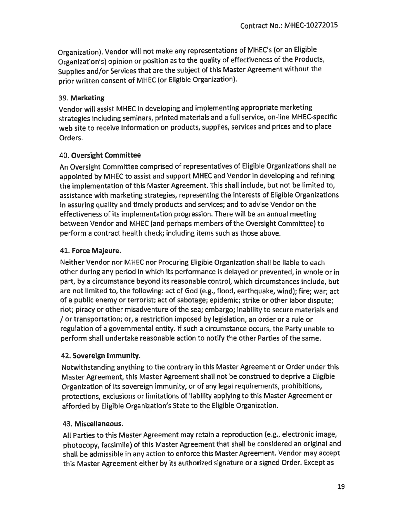Organization). Vendor will not make any representations of MHEC's (or an Eligible Organization's) opinion or position as to the quality of effectiveness of the Products, Supplies and/or Services that are the subject of this Master Agreement without the prior written consent of MHEC (or Eligible Organization).

### 39. Marketing

Vendor will assist MHEC in developing and implementing appropriate marketing strategies including seminars, printed materials and a full service, on-line MHEC-specific web site to receive information on products, supplies, services and prices and to place Orders.

# 40. Oversight Committee

An Oversight Committee comprised of representatives of Eligible Organizations shall be appointed by MHEC to assist and support MHEC and Vendor in developing and refining the implementation of this Master Agreement. This shall include, but not be limited to, assistance with marketing strategies, representing the interests of Eligible Organizations in assuring quality and timely products and services; and to advise Vendor on the effectiveness of its implementation progression. There will be an annual meeting between Vendor and MHEC (and perhaps members of the Oversight Committee) to perform a contract health check; including items such as those above.

# 41. Force Majeure.

Neither Vendor nor MHEC nor Procuring Eligible Organization shall be liable to each other during any period in which its performance is delayed or prevented, in whole or in part, by a circumstance beyond its reasonable control, which circumstances include, but are not limited to, the following: act of God (e.g., flood, earthquake, wind); fire; war; act of a public enemy or terrorist; act of sabotage; epidemic; strike or other labor dispute; riot; piracy or other misadventure of the sea; embargo; inability to secure materials and or transportation; or, a restriction imposed by legislation, an order or a rule or regulation of a governmental entity. If such a circumstance occurs, the Party unable to perform shall undertake reasonable action to notify the other Parties of the same.

### 42. Sovereign Immunity.

Notwithstanding anything to the contrary in this Master Agreement or Order under this Master Agreement, this Master Agreement shall not be construed to deprive a Eligible Organization of its sovereign immunity, or of any legal requirements, prohibitions, protections, exclusions or limitations of liability applying to this Master Agreement or afforded by Eligible Organization's State to the Eligible Organization.

# 43. Miscellaneous.

All Parties to this Master Agreement may retain a reproduction (e.g., electronic image, photocopy, facsimile) of this Master Agreement that shall be considered an original and shall be admissible in any action to enforce this Master Agreement. Vendor may accept this Master Agreement either by its authorized signature or a signed Order. Except as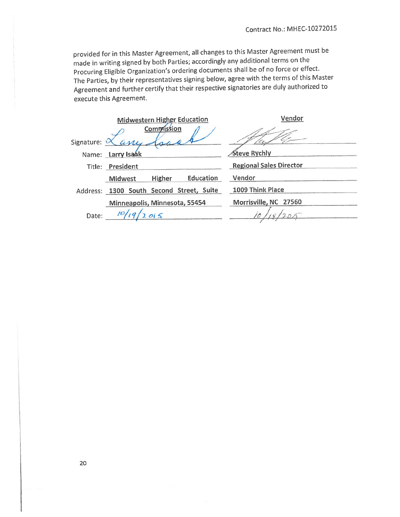provided for in this Master Agreement, all changes to this Master Agreement must be made in writing signed by both Parties; accordingly any additional terms on the Procuring Eligible Organization's ordering documents shall be of no force or effect. The Parties, by their representatives signing below, agree with the terms of this Master Agreement and further certify that their respective signatories are duly authorized to execute this Agreement.

|              | <b>Midwestern Higher Education</b>       | Vendor                         |
|--------------|------------------------------------------|--------------------------------|
|              | <b>Commission</b>                        |                                |
| Signature: C | an.                                      |                                |
|              | Name: Larry Isaak                        | Steve Rychly                   |
|              | Title: President                         | <b>Regional Sales Director</b> |
|              | Education<br>Higher<br><b>Midwest</b>    | Vendor                         |
|              | Address: 1300 South Second Street, Suite | 1009 Think Place               |
|              | Minneapolis, Minnesota, 55454            | Morrisville, NC 27560          |
| Date:        |                                          |                                |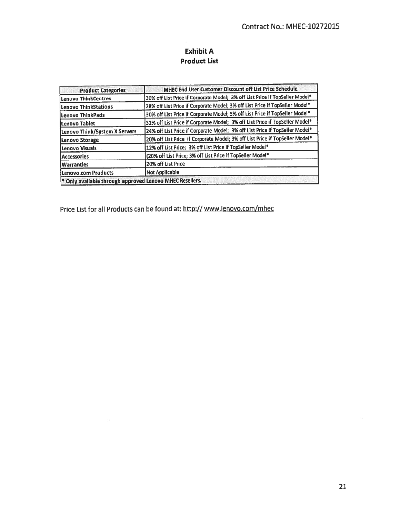# **Exhibit A Product List**

| <b>Product Categories</b>                                           | MHEC End User Customer Discount off List Price Schedule                      |
|---------------------------------------------------------------------|------------------------------------------------------------------------------|
| Lenovo ThinkCentres                                                 | 30% off List Price if Corporate Model; 3% off List Price if TopSeller Model* |
| Lenovo ThinkStations                                                | 28% off List Price if Corporate Model; 3% off List Price if TopSeller Model* |
| Lenovo ThinkPads                                                    | 30% off List Price if Corporate Model; 3% off List Price if TopSeller Model* |
| Lenovo Tabiet                                                       | 32% off List Price if Corporate Model; 3% off List Price if TopSeller Model* |
| Lenovo Think/System X Servers                                       | 24% off List Price if Corporate Model; 3% off List Price if TopSeller Model* |
| Lenovo Storage                                                      | 20% off List Price if Corporate Model; 3% off List Price if TopSeller Model* |
| Lenovo Visuals                                                      | 12% off List Price; 3% off List Price if TopSeller Model*                    |
| <b>Accessories</b>                                                  | (20% off List Price; 3% off List Price if TopSeller Model*                   |
| <b>Warrantles</b>                                                   | 20% off List Price                                                           |
| Lenovo.com Products                                                 | Not Applicable                                                               |
| <sup>*</sup> Only available through approved Lenovo MHEC Resellers. |                                                                              |

Price List for all Products can be found at: http:// www.lenovo.com/mhec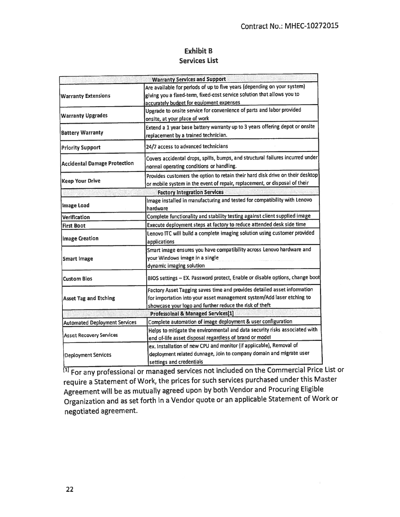# **Exhibit B Services List**

|                                      | <b>Warranty Services and Support</b>                                                                                                                                                                          |  |
|--------------------------------------|---------------------------------------------------------------------------------------------------------------------------------------------------------------------------------------------------------------|--|
| <b>Warranty Extensions</b>           | Are available for periods of up to five years (depending on your system)<br>giving you a fixed-term, fixed-cost service solution that allows you to<br>accurately budget for equipment expenses               |  |
| <b>Warranty Upgrades</b>             | Upgrade to onsite service for convenience of parts and labor provided<br>onsite, at your place of work                                                                                                        |  |
| <b>Battery Warranty</b>              | Extend a 1 year base battery warranty up to 3 years offering depot or onsite<br>replacement by a trained technician.                                                                                          |  |
| <b>Priority Support</b>              | 24/7 access to advanced technicians                                                                                                                                                                           |  |
| <b>Accidental Damage Protection</b>  | Covers accidental drops, spills, bumps, and structural failures incurred under<br>normal operating conditions or handling.                                                                                    |  |
| Keep Your Drive                      | Provides customers the option to retain their hard disk drive on their desktop<br>or mobile system in the event of repair, replacement, or disposal of their                                                  |  |
|                                      | <b>Factory Integration Services</b>                                                                                                                                                                           |  |
| <b>Image Load</b>                    | Image installed in manufacturing and tested for compatibility with Lenovo<br>hardware                                                                                                                         |  |
| Verification                         | Complete functionality and stability testing against client supplied image                                                                                                                                    |  |
| <b>First Boot</b>                    | Execute deployment steps at factory to reduce attended desk side time                                                                                                                                         |  |
| <b>Image Creation</b>                | Lenovo ITC will build a complete imaging solution using customer provided<br>applications                                                                                                                     |  |
| <b>Smart Image</b>                   | Smart image ensures you have compatibility across Lenovo hardware and<br>your Windows image in a single<br>dynamic imaging solution                                                                           |  |
| Custom Bios                          | BIOS settings - EX. Password protect, Enable or disable options, change boot                                                                                                                                  |  |
| <b>Asset Tag and Etching</b>         | Factory Asset Tagging saves time and provides detailed asset information<br>for importation into your asset management system/Add laser etching to<br>showcase your logo and further reduce the risk of theft |  |
|                                      | <b>Professoinal &amp; Managed Services[1]</b>                                                                                                                                                                 |  |
| <b>Automated Deployment Services</b> | Complete automation of image deployment & user configuration                                                                                                                                                  |  |
| <b>Asset Recovery Services</b>       | Helps to mitigate the environmental and data security risks associated with<br>end of-life asset disposal regardless of brand or model                                                                        |  |
| <b>Deployment Services</b>           | ex. Installation of new CPU and monitor (if applicable), Removal of<br>deployment related dunnage, Join to company domain and migrate user<br>settings and credentials                                        |  |

<sup>[1]</sup> For any professional or managed services not included on the Commercial Price List or require a Statement of Work, the prices for such services purchased under this Master Agreement will be as mutually agreed upon by both Vendor and Procuring Eligible Organization and as set forth in a Vendor quote or an applicable Statement of Work or negotiated agreement.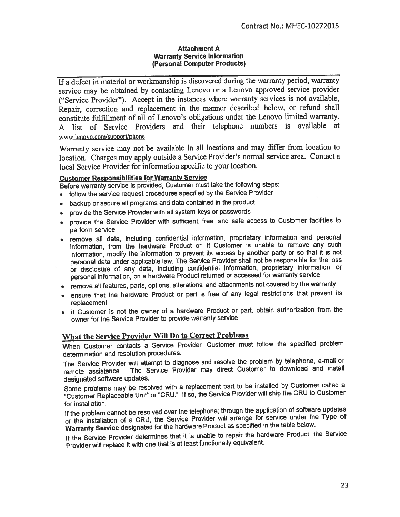#### **Attachment A Warranty Service Information** (Personal Computer Products)

If a defect in material or workmanship is discovered during the warranty period, warranty service may be obtained by contacting Lenovo or a Lenovo approved service provider ("Service Provider"). Accept in the instances where warranty services is not available, Repair, correction and replacement in the manner described below, or refund shall constitute fulfillment of all of Lenovo's obligations under the Lenovo limited warranty. A list of Service Providers and their telephone numbers is available at www.lenovo.com/support/phone.

Warranty service may not be available in all locations and may differ from location to location. Charges may apply outside a Service Provider's normal service area. Contact a local Service Provider for information specific to your location.

#### **Customer Responsibilities for Warranty Service**

Before warranty service is provided. Customer must take the following steps:

- follow the service request procedures specified by the Service Provider
- backup or secure all programs and data contained in the product
- provide the Service Provider with all system keys or passwords
- provide the Service Provider with sufficient, free, and safe access to Customer facilities to perform service
- . remove all data, including confidential information, proprietary information and personal information, from the hardware Product or, if Customer is unable to remove any such information, modify the information to prevent its access by another party or so that it is not personal data under applicable law. The Service Provider shall not be responsible for the loss or disclosure of any data, including confidential information, proprietary information, or personal information, on a hardware Product returned or accessed for warranty service
- remove all features, parts, options, alterations, and attachments not covered by the warranty
- ensure that the hardware Product or part is free of any legal restrictions that prevent its replacement
- if Customer is not the owner of a hardware Product or part, obtain authorization from the owner for the Service Provider to provide warranty service

# What the Service Provider Will Do to Correct Problems

When Customer contacts a Service Provider, Customer must follow the specified problem determination and resolution procedures.

The Service Provider will attempt to diagnose and resolve the problem by telephone, e-mail or The Service Provider may direct Customer to download and install remote assistance. designated software updates.

Some problems may be resolved with a replacement part to be installed by Customer called a "Customer Replaceable Unit" or "CRU." If so, the Service Provider will ship the CRU to Customer for installation.

If the problem cannot be resolved over the telephone; through the application of software updates or the installation of a CRU, the Service Provider will arrange for service under the Type of Warranty Service designated for the hardware Product as specified in the table below.

If the Service Provider determines that it is unable to repair the hardware Product, the Service Provider will replace it with one that is at least functionally equivalent.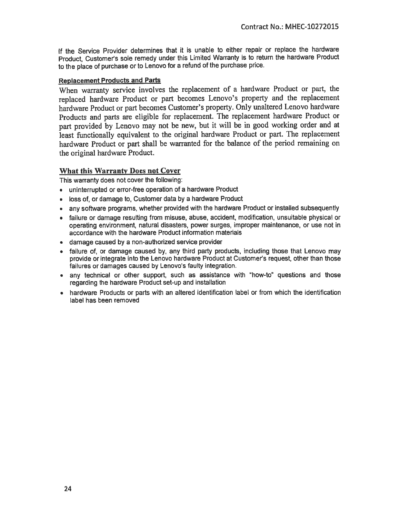If the Service Provider determines that it is unable to either repair or replace the hardware Product, Customer's sole remedy under this Limited Warranty is to return the hardware Product to the place of purchase or to Lenovo for a refund of the purchase price.

#### **Replacement Products and Parts**

When warranty service involves the replacement of a hardware Product or part, the replaced hardware Product or part becomes Lenovo's property and the replacement hardware Product or part becomes Customer's property. Only unaltered Lenovo hardware Products and parts are eligible for replacement. The replacement hardware Product or part provided by Lenovo may not be new, but it will be in good working order and at least functionally equivalent to the original hardware Product or part. The replacement hardware Product or part shall be warranted for the balance of the period remaining on the original hardware Product.

#### **What this Warranty Does not Cover**

This warranty does not cover the following:

- . uninterrupted or error-free operation of a hardware Product
- loss of, or damage to, Customer data by a hardware Product
- any software programs, whether provided with the hardware Product or installed subsequently
- failure or damage resulting from misuse, abuse, accident, modification, unsuitable physical or operating environment, natural disasters, power surges, improper maintenance, or use not in accordance with the hardware Product information materials
- · damage caused by a non-authorized service provider
- failure of, or damage caused by, any third party products, including those that Lenovo may provide or integrate into the Lenovo hardware Product at Customer's request, other than those failures or damages caused by Lenovo's faulty integration.
- any technical or other support, such as assistance with "how-to" questions and those regarding the hardware Product set-up and installation
- hardware Products or parts with an altered identification label or from which the identification label has been removed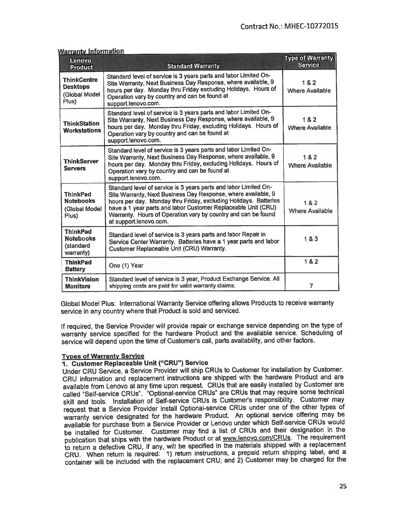| Lenovo<br><b>Product</b>                                        | <b>Standard Warranty</b>                                                                                                                                                                                                                                                                                                                                          | <b>Type of Warranty</b><br><b>Service</b> |
|-----------------------------------------------------------------|-------------------------------------------------------------------------------------------------------------------------------------------------------------------------------------------------------------------------------------------------------------------------------------------------------------------------------------------------------------------|-------------------------------------------|
| <b>ThinkCentre</b><br><b>Desktops</b><br>(Global Model<br>Plus) | Standard level of service is 3 years parts and labor Limited On-<br>Site Warranty, Next Business Day Response, where available, 9<br>hours per day. Monday thru Friday excluding Holidays. Hours of<br>Operation vary by country and can be found at<br>support.lenovo.com.                                                                                       | 1&2<br>Where Available                    |
| <b>ThinkStation</b><br><b>Workstations</b>                      | Standard level of service is 3 years parts and labor Limited On-<br>Site Warranty, Next Business Day Response, where available, 9<br>hours per day. Monday thru Friday, excluding Holidays. Hours of<br>Operation vary by country and can be found at<br>support.lenovo.com.                                                                                      | 1&2<br><b>Where Available</b>             |
| <b>ThinkServer</b><br><b>Servers</b>                            | Standard level of service is 3 years parts and labor Limited On-<br>Site Warranty, Next Business Day Response, where available, 9<br>hours per day. Monday thru Friday, excluding Holidays. Hours of<br>Operation vary by country and can be found at<br>support.lenovo.com.                                                                                      | 1 & 2<br>Where Available                  |
| <b>ThinkPad</b><br><b>Notebooks</b><br>(Global Model<br>Plus)   | Standard level of service is 3 years parts and labor Limited On-<br>Site Warranty, Next Business Day Response, where available, 9<br>hours per day. Monday thru Friday, excluding Holidays. Batteries<br>have a 1 year parts and labor Customer Replaceable Unit (CRU)<br>Warranty. Hours of Operation vary by country and can be found<br>at support.lenovo.com. | 1&2<br><b>Where Available</b>             |
| <b>ThinkPad</b><br><b>Notebooks</b><br>(standard<br>warranty)   | Standard level of service is 3 years parts and labor Repair in<br>Service Center Warranty. Batteries have a 1 year parts and labor<br>Customer Replaceable Unit (CRU) Warranty.                                                                                                                                                                                   | 183                                       |
| <b>ThinkPad</b><br><b>Battery</b>                               | One (1) Year                                                                                                                                                                                                                                                                                                                                                      | 1&2                                       |
| <b>ThinkVision</b><br><b>Monitors</b>                           | Standard level of service is 3 year, Product Exchange Service. All<br>shipping costs are paid for valid warranty claims.                                                                                                                                                                                                                                          | 7                                         |

#### **Warranty Information**

Global Model Plus: International Warranty Service offering allows Products to receive warranty service in any country where that Product is sold and serviced.

If required, the Service Provider will provide repair or exchange service depending on the type of warranty service specified for the hardware Product and the available service. Scheduling of service will depend upon the time of Customer's call, parts availability, and other factors.

#### **Types of Warranty Service**

#### 1. Customer Replaceable Unit ("CRU") Service

Under CRU Service, a Service Provider will ship CRUs to Customer for installation by Customer. CRU information and replacement instructions are shipped with the hardware Product and are available from Lenovo at any time upon request. CRUs that are easily installed by Customer are called "Self-service CRUs". "Optional-service CRUs" are CRUs that may require some technical skill and tools. Installation of Self-service CRUs is Customer's responsibility. Customer may request that a Service Provider install Optional-service CRUs under one of the other types of warranty service designated for the hardware Product. An optional service offering may be available for purchase from a Service Provider or Lenovo under which Self-service CRUs would be installed for Customer. Customer may find a list of CRUs and their designation in the publication that ships with the hardware Product or at www.lenovo.com/CRUs. The requirement to return a defective CRU, if any, will be specified in the materials shipped with a replacement CRU. When return is required: 1) return instructions, a prepaid return shipping label, and a container will be included with the replacement CRU; and 2) Customer may be charged for the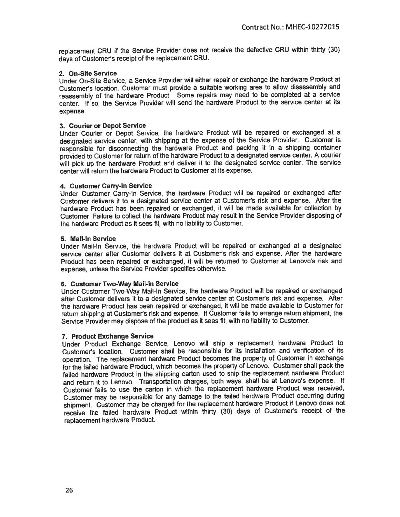replacement CRU if the Service Provider does not receive the defective CRU within thirty (30) days of Customer's receipt of the replacement CRU.

#### 2. On-Site Service

Under On-Site Service, a Service Provider will either repair or exchange the hardware Product at Customer's location. Customer must provide a suitable working area to allow disassembly and reassembly of the hardware Product. Some repairs may need to be completed at a service center. If so, the Service Provider will send the hardware Product to the service center at its expense.

#### 3. Courier or Depot Service

Under Courier or Depot Service, the hardware Product will be repaired or exchanged at a designated service center, with shipping at the expense of the Service Provider. Customer is responsible for disconnecting the hardware Product and packing it in a shipping container provided to Customer for return of the hardware Product to a designated service center. A courier will pick up the hardware Product and deliver it to the designated service center. The service center will return the hardware Product to Customer at its expense.

#### 4. Customer Carry-In Service

Under Customer Carry-In Service, the hardware Product will be repaired or exchanged after Customer delivers it to a designated service center at Customer's risk and expense. After the hardware Product has been repaired or exchanged, it will be made available for collection by Customer. Failure to collect the hardware Product may result in the Service Provider disposing of the hardware Product as it sees fit, with no liability to Customer.

#### 5. Mail-In Service

Under Mail-In Service, the hardware Product will be repaired or exchanged at a designated service center after Customer delivers it at Customer's risk and expense. After the hardware Product has been repaired or exchanged, it will be returned to Customer at Lenovo's risk and expense, unless the Service Provider specifies otherwise.

#### 6. Customer Two-Way Mail-in Service

Under Customer Two-Way Mail-In Service, the hardware Product will be repaired or exchanged after Customer delivers it to a designated service center at Customer's risk and expense. After the hardware Product has been repaired or exchanged, it will be made available to Customer for return shipping at Customer's risk and expense. If Customer fails to arrange return shipment, the Service Provider may dispose of the product as it sees fit, with no liability to Customer.

#### 7. Product Exchange Service

Under Product Exchange Service, Lenovo will ship a replacement hardware Product to Customer's location. Customer shall be responsible for its installation and verification of its operation. The replacement hardware Product becomes the property of Customer in exchange for the failed hardware Product, which becomes the property of Lenovo. Customer shall pack the failed hardware Product in the shipping carton used to ship the replacement hardware Product and return it to Lenovo. Transportation charges, both ways, shall be at Lenovo's expense. If Customer fails to use the carton in which the replacement hardware Product was received, Customer may be responsible for any damage to the failed hardware Product occurring during shipment. Customer may be charged for the replacement hardware Product if Lenovo does not receive the failed hardware Product within thirty (30) days of Customer's receipt of the replacement hardware Product.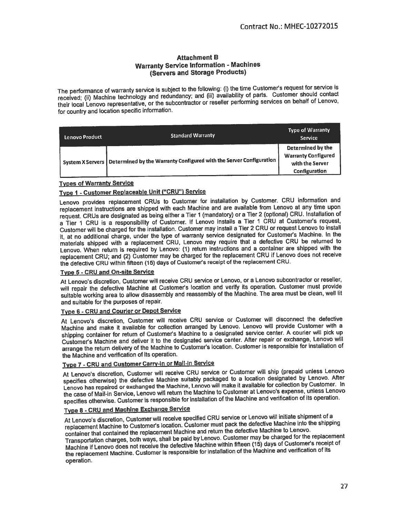#### **Attachment B Warranty Service Information - Machines** (Servers and Storage Products)

The performance of warranty service is subject to the following: (i) the time Customer's request for service is received; (ii) Machine technology and redundancy; and (iii) availability of parts. Customer should contact their local Lenovo representative, or the subcontractor or reseller performing services on behalf of Lenovo, for country and location specific information.

| Lenovo Product | <b>Standard Warranty</b>                                                                               | <b>Type of Warranty</b><br>Service <sup>1</sup>                                     |
|----------------|--------------------------------------------------------------------------------------------------------|-------------------------------------------------------------------------------------|
|                | $^{\circ}$ System X Servers   Determined by the Warranty Configured with the Server Configuration $_3$ | Determined by the<br><b>Warranty Configured</b><br>with the Server<br>Configuration |

#### **Types of Warranty Service**

### Type 1 - Customer Replaceable Unit ("CRU") Service

Lenovo provides replacement CRUs to Customer for installation by Customer. CRU information and replacement instructions are shipped with each Machine and are available from Lenovo at any time upon request. CRUs are designated as being either a Tier 1 (mandatory) or a Tier 2 (optional) CRU. Installation of a Tier 1 CRU is a responsibility of Customer. If Lenovo installs a Tier 1 CRU at Customer's request, Customer will be charged for the installation. Customer may install a Tier 2 CRU or request Lenovo to install it, at no additional charge, under the type of warranty service designated for Customer's Machine. In the materials shipped with a replacement CRU, Lenovo may require that a defective CRU be returned to Lenovo. When return is required by Lenovo: (1) return instructions and a container are shipped with the replacement CRU; and (2) Customer may be charged for the replacement CRU if Lenovo does not receive the defective CRU within fifteen (15) days of Customer's receipt of the replacement CRU.

#### Type 5 - CRU and On-site Service

At Lenovo's discretion, Customer will receive CRU service or Lenovo, or a Lenovo subcontractor or reseller, will repair the defective Machine at Customer's location and verify its operation. Customer must provide suitable working area to allow disassembly and reassembly of the Machine. The area must be clean, well lit and suitable for the purposes of repair.

#### Type 6 - CRU and Courier or Depot Service

At Lenovo's discretion, Customer will receive CRU service or Customer will disconnect the defective Machine and make it available for collection arranged by Lenovo. Lenovo will provide Customer with a shipping container for return of Customer's Machine to a designated service center. A courier will pick up Customer's Machine and deliver it to the designated service center. After repair or exchange, Lenovo will arrange the return delivery of the Machine to Customer's location. Customer is responsible for installation of the Machine and verification of its operation.

#### Type 7 - CRU and Customer Carry-In or Mail-In Service

At Lenovo's discretion, Customer will receive CRU service or Customer will ship (prepaid unless Lenovo specifies otherwise) the defective Machine suitably packaged to a location designated by Lenovo. After Lenovo has repaired or exchanged the Machine, Lenovo will make it available for collection by Customer. In the case of Mail-in Service, Lenovo will return the Machine to Customer at Lenovo's expense, unless Lenovo specifies otherwise. Customer is responsible for installation of the Machine and verification of its operation.

#### Type 8 - CRU and Machine Exchange Service

At Lenovo's discretion, Customer will receive specified CRU service or Lenovo will initiate shipment of a replacement Machine to Customer's location. Customer must pack the defective Machine into the shipping container that contained the replacement Machine and return the defective Machine to Lenovo. Transportation charges, both ways, shall be paid by Lenovo. Customer may be charged for the replacement Machine if Lenovo does not receive the defective Machine within fifteen (15) days of Customer's receipt of the replacement Machine. Customer is responsible for installation of the Machine and verification of its operation.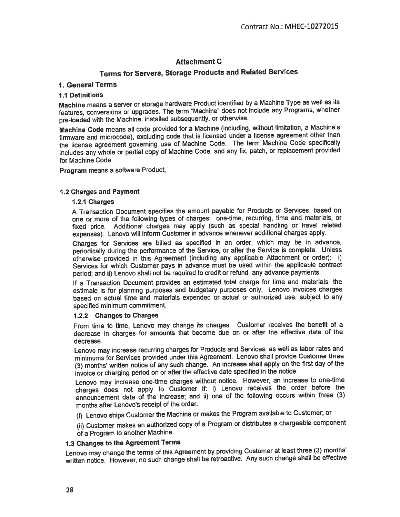# **Attachment C**

# Terms for Servers, Storage Products and Related Services

#### 1. General Terms

#### **1.1 Definitions**

Machine means a server or storage hardware Product identified by a Machine Type as well as its features, conversions or upgrades. The term "Machine" does not include any Programs, whether pre-loaded with the Machine, installed subsequently, or otherwise.

Machine Code means all code provided for a Machine (including, without limitation, a Machine's firmware and microcode), excluding code that is licensed under a license agreement other than the license agreement governing use of Machine Code. The term Machine Code specifically includes any whole or partial copy of Machine Code, and any fix, patch, or replacement provided for Machine Code.

Program means a software Product,

#### **1.2 Charges and Payment**

#### 1.2.1 Charges

A Transaction Document specifies the amount payable for Products or Services, based on one or more of the following types of charges: one-time, recurring, time and materials, or fixed price. Additional charges may apply (such as special handling or travel related expenses). Lenovo will inform Customer in advance whenever additional charges apply.

Charges for Services are billed as specified in an order, which may be in advance, periodically during the performance of the Service, or after the Service is complete. Unless otherwise provided in this Agreement (including any applicable Attachment or order): i) Services for which Customer pays in advance must be used within the applicable contract period; and ii) Lenovo shall not be required to credit or refund any advance payments.

If a Transaction Document provides an estimated total charge for time and materials, the estimate is for planning purposes and budgetary purposes only. Lenovo invoices charges based on actual time and materials expended or actual or authorized use, subject to any specified minimum commitment.

#### 1.2.2 Changes to Charges

From time to time, Lenovo may change its charges. Customer receives the benefit of a decrease in charges for amounts that become due on or after the effective date of the decrease.

Lenovo may increase recurring charges for Products and Services, as well as labor rates and minimums for Services provided under this Agreement. Lenovo shall provide Customer three (3) months' written notice of any such change. An increase shall apply on the first day of the invoice or charging period on or after the effective date specified in the notice.

Lenovo may increase one-time charges without notice. However, an increase to one-time charges does not apply to Customer if: i) Lenovo receives the order before the announcement date of the increase; and ii) one of the following occurs within three (3) months after Lenovo's receipt of the order:

(i) Lenovo ships Customer the Machine or makes the Program available to Customer; or

(ii) Customer makes an authorized copy of a Program or distributes a chargeable component of a Program to another Machine.

#### 1.3 Changes to the Agreement Terms

Lenovo may change the terms of this Agreement by providing Customer at least three (3) months' written notice. However, no such change shall be retroactive. Any such change shall be effective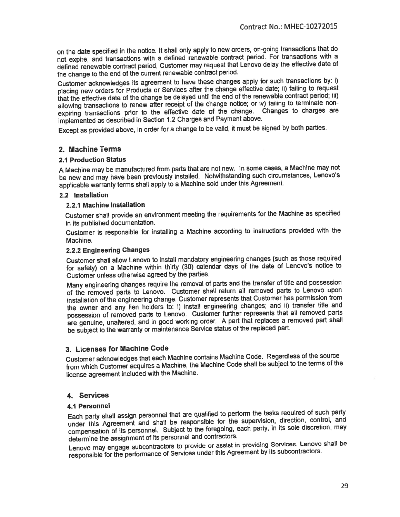on the date specified in the notice. It shall only apply to new orders, on-going transactions that do not expire, and transactions with a defined renewable contract period. For transactions with a defined renewable contract period, Customer may request that Lenovo delay the effective date of the change to the end of the current renewable contract period.

Customer acknowledges its agreement to have these changes apply for such transactions by: i) placing new orders for Products or Services after the change effective date; ii) failing to request that the effective date of the change be delayed until the end of the renewable contract period; iii) allowing transactions to renew after receipt of the change notice; or iv) failing to terminate nonexpiring transactions prior to the effective date of the change. Changes to charges are implemented as described in Section 1.2 Charges and Payment above.

Except as provided above, in order for a change to be valid, it must be signed by both parties.

### 2. Machine Terms

#### **2.1 Production Status**

A Machine may be manufactured from parts that are not new. In some cases, a Machine may not be new and may have been previously installed. Notwithstanding such circumstances, Lenovo's applicable warranty terms shall apply to a Machine sold under this Agreement.

#### 2.2 installation

#### 2.2.1 Machine installation

Customer shall provide an environment meeting the requirements for the Machine as specified in its published documentation.

Customer is responsible for installing a Machine according to instructions provided with the Machine.

#### 2.2.2 Engineering Changes

Customer shall allow Lenovo to install mandatory engineering changes (such as those required for safety) on a Machine within thirty (30) calendar days of the date of Lenovo's notice to Customer unless otherwise agreed by the parties.

Many engineering changes require the removal of parts and the transfer of title and possession of the removed parts to Lenovo. Customer shall return all removed parts to Lenovo upon installation of the engineering change. Customer represents that Customer has permission from the owner and any lien holders to: i) install engineering changes; and ii) transfer title and possession of removed parts to Lenovo. Customer further represents that all removed parts are genuine, unaltered, and in good working order. A part that replaces a removed part shall be subject to the warranty or maintenance Service status of the replaced part.

#### 3. Licenses for Machine Code

Customer acknowledges that each Machine contains Machine Code. Regardless of the source from which Customer acquires a Machine, the Machine Code shall be subject to the terms of the license agreement included with the Machine.

#### 4. Services

#### 4.1 Personnel

Each party shall assign personnel that are qualified to perform the tasks required of such party under this Agreement and shall be responsible for the supervision, direction, control, and compensation of its personnel. Subject to the foregoing, each party, in its sole discretion, may determine the assignment of its personnel and contractors.

Lenovo may engage subcontractors to provide or assist in providing Services. Lenovo shall be responsible for the performance of Services under this Agreement by its subcontractors.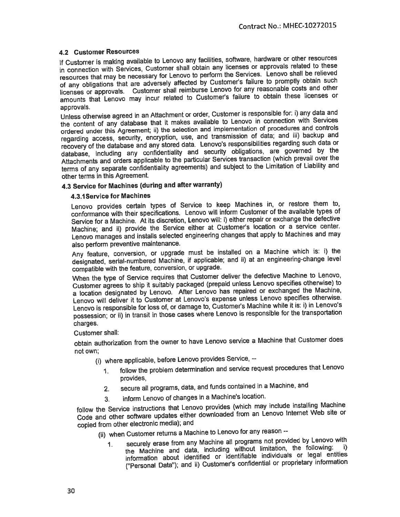#### **4.2 Customer Resources**

If Customer is making available to Lenovo any facilities, software, hardware or other resources in connection with Services, Customer shall obtain any licenses or approvals related to these resources that may be necessary for Lenovo to perform the Services. Lenovo shall be relieved of any obligations that are adversely affected by Customer's failure to promptly obtain such licenses or approvals. Customer shall reimburse Lenovo for any reasonable costs and other amounts that Lenovo may incur related to Customer's failure to obtain these licenses or approvals.

Unless otherwise agreed in an Attachment or order, Customer is responsible for: i) any data and the content of any database that it makes available to Lenovo in connection with Services ordered under this Agreement; ii) the selection and implementation of procedures and controls regarding access, security, encryption, use, and transmission of data; and iii) backup and recovery of the database and any stored data. Lenovo's responsibilities regarding such data or database, including any confidentiality and security obligations, are governed by the Attachments and orders applicable to the particular Services transaction (which prevail over the terms of any separate confidentiality agreements) and subject to the Limitation of Liability and other terms in this Agreement.

### 4.3 Service for Machines (during and after warranty)

#### 4.3.1 Service for Machines

Lenovo provides certain types of Service to keep Machines in, or restore them to, conformance with their specifications. Lenovo will inform Customer of the available types of Service for a Machine. At its discretion, Lenovo will: i) either repair or exchange the defective Machine; and ii) provide the Service either at Customer's location or a service center. Lenovo manages and installs selected engineering changes that apply to Machines and may also perform preventive maintenance.

Any feature, conversion, or upgrade must be installed on a Machine which is: i) the designated, serial-numbered Machine, if applicable; and ii) at an engineering-change level compatible with the feature, conversion, or upgrade.

When the type of Service requires that Customer deliver the defective Machine to Lenovo, Customer agrees to ship it suitably packaged (prepaid unless Lenovo specifies otherwise) to a location designated by Lenovo. After Lenovo has repaired or exchanged the Machine, Lenovo will deliver it to Customer at Lenovo's expense unless Lenovo specifies otherwise. Lenovo is responsible for loss of, or damage to, Customer's Machine while it is: i) in Lenovo's possession; or ii) in transit in those cases where Lenovo is responsible for the transportation charges.

#### Customer shall:

obtain authorization from the owner to have Lenovo service a Machine that Customer does not own:

(i) where applicable, before Lenovo provides Service, --

- follow the problem determination and service request procedures that Lenovo  $1<sub>1</sub>$ provides,
- secure all programs, data, and funds contained in a Machine, and  $2.$
- inform Lenovo of changes in a Machine's location.  $3<sub>1</sub>$

follow the Service instructions that Lenovo provides (which may include installing Machine Code and other software updates either downloaded from an Lenovo Internet Web site or copied from other electronic media); and

- (ii) when Customer returns a Machine to Lenovo for any reason -
	- securely erase from any Machine all programs not provided by Lenovo with  $\mathbf 1$ the Machine and data, including without limitation, the following: i) information about identified or identifiable individuals or legal entities ("Personal Data"); and ii) Customer's confidential or proprietary information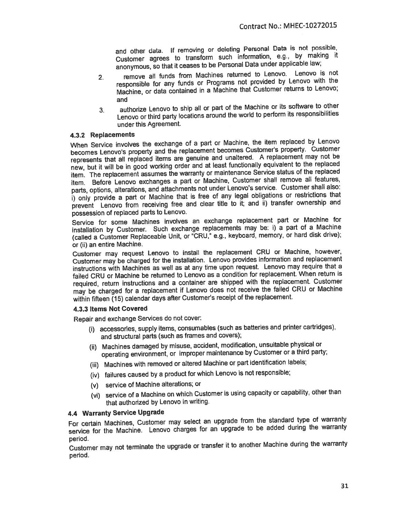and other data. If removing or deleting Personal Data is not possible, Customer agrees to transform such information, e.g., by making it anonymous, so that it ceases to be Personal Data under applicable law;

- remove all funds from Machines returned to Lenovo. Lenovo is not  $2.$ responsible for any funds or Programs not provided by Lenovo with the Machine, or data contained in a Machine that Customer returns to Lenovo; and
- authorize Lenovo to ship all or part of the Machine or its software to other  $3.$ Lenovo or third party locations around the world to perform its responsibilities under this Agreement.

#### 4.3.2 Replacements

When Service involves the exchange of a part or Machine, the item replaced by Lenovo becomes Lenovo's property and the replacement becomes Customer's property. Customer represents that all replaced items are genuine and unaltered. A replacement may not be new, but it will be in good working order and at least functionally equivalent to the replaced item. The replacement assumes the warranty or maintenance Service status of the replaced item. Before Lenovo exchanges a part or Machine, Customer shall remove all features, parts, options, alterations, and attachments not under Lenovo's service. Customer shall also: i) only provide a part or Machine that is free of any legal obligations or restrictions that prevent Lenovo from receiving free and clear title to it; and ii) transfer ownership and possession of replaced parts to Lenovo.

Service for some Machines involves an exchange replacement part or Machine for installation by Customer. Such exchange replacements may be: i) a part of a Machine (called a Customer Replaceable Unit, or "CRU," e.g., keyboard, memory, or hard disk drive); or (ii) an entire Machine.

Customer may request Lenovo to install the replacement CRU or Machine, however, Customer may be charged for the installation. Lenovo provides information and replacement instructions with Machines as well as at any time upon request. Lenovo may require that a failed CRU or Machine be returned to Lenovo as a condition for replacement. When return is required, return instructions and a container are shipped with the replacement. Customer may be charged for a replacement if Lenovo does not receive the failed CRU or Machine within fifteen (15) calendar days after Customer's receipt of the replacement.

#### 4.3.3 Items Not Covered

Repair and exchange Services do not cover:

- (i) accessories, supply items, consumables (such as batteries and printer cartridges). and structural parts (such as frames and covers);
- (ii) Machines damaged by misuse, accident, modification, unsuitable physical or operating environment, or improper maintenance by Customer or a third party;
- (iii) Machines with removed or altered Machine or part identification labels;
- (iv) failures caused by a product for which Lenovo is not responsible;
- (v) service of Machine alterations; or
- (vi) service of a Machine on which Customer is using capacity or capability, other than that authorized by Lenovo in writing.

#### 4.4 Warranty Service Upgrade

For certain Machines, Customer may select an upgrade from the standard type of warranty service for the Machine. Lenovo charges for an upgrade to be added during the warranty period.

Customer may not terminate the upgrade or transfer it to another Machine during the warranty period.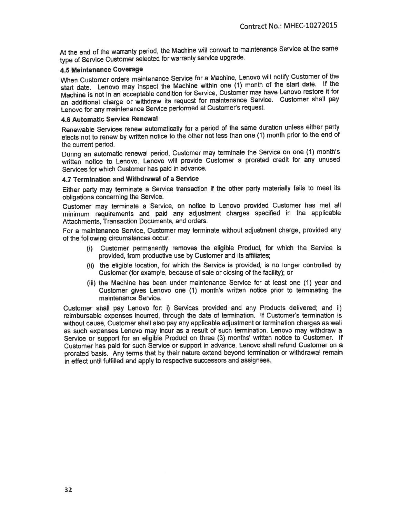At the end of the warranty period, the Machine will convert to maintenance Service at the same type of Service Customer selected for warranty service upgrade.

#### **4.5 Maintenance Coverage**

When Customer orders maintenance Service for a Machine, Lenovo will notify Customer of the start date. Lenovo may inspect the Machine within one (1) month of the start date. If the Machine is not in an acceptable condition for Service, Customer may have Lenovo restore it for an additional charge or withdraw its request for maintenance Service. Customer shall pay Lenovo for any maintenance Service performed at Customer's request.

#### **4.6 Automatic Service Renewal**

Renewable Services renew automatically for a period of the same duration unless either party elects not to renew by written notice to the other not less than one (1) month prior to the end of the current period.

During an automatic renewal period, Customer may terminate the Service on one (1) month's written notice to Lenovo. Lenovo will provide Customer a prorated credit for any unused Services for which Customer has paid in advance.

#### 4.7 Termination and Withdrawal of a Service

Either party may terminate a Service transaction if the other party materially fails to meet its obligations concerning the Service.

Customer may terminate a Service, on notice to Lenovo provided Customer has met all minimum requirements and paid any adjustment charges specified in the applicable Attachments, Transaction Documents, and orders.

For a maintenance Service, Customer may terminate without adjustment charge, provided any of the following circumstances occur:

- Customer permanently removes the eligible Product, for which the Service is  $(i)$ provided, from productive use by Customer and its affiliates;
- (ii) the eligible location, for which the Service is provided, is no longer controlled by Customer (for example, because of sale or closing of the facility); or
- (iii) the Machine has been under maintenance Service for at least one (1) year and Customer gives Lenovo one (1) month's written notice prior to terminating the maintenance Service.

Customer shall pay Lenovo for: i) Services provided and any Products delivered; and ii) reimbursable expenses incurred, through the date of termination. If Customer's termination is without cause. Customer shall also pay any applicable adjustment or termination charges as well as such expenses Lenovo may incur as a result of such termination. Lenovo may withdraw a Service or support for an eligible Product on three (3) months' written notice to Customer. If Customer has paid for such Service or support in advance, Lenovo shall refund Customer on a prorated basis. Any terms that by their nature extend beyond termination or withdrawal remain in effect until fulfilled and apply to respective successors and assignees.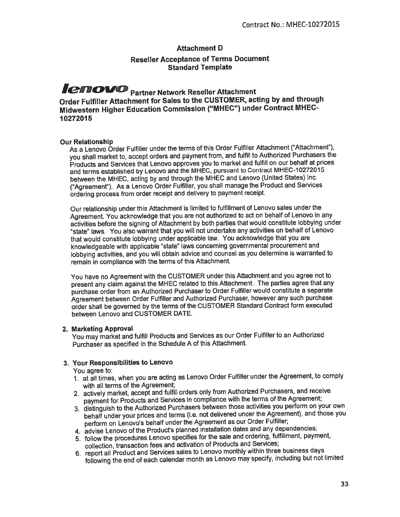#### **Attachment D**

#### **Reseller Acceptance of Terms Document Standard Template**

# **ICHOVO** Partner Network Reseller Attachment

Order Fulfiller Attachment for Sales to the CUSTOMER, acting by and through Midwestern Higher Education Commission ("MHEC") under Contract MHEC-10272015

#### **Our Relationship**

As a Lenovo Order Fulfiller under the terms of this Order Fulfiller Attachment ("Attachment"). you shall market to, accept orders and payment from, and fulfill to Authorized Purchasers the Products and Services that Lenovo approves you to market and fulfill on our behalf at prices and terms established by Lenovo and the MHEC, pursuant to Contract MHEC-10272015 between the MHEC, acting by and through the MHEC and Lenovo (United States) Inc. ("Agreement"). As a Lenovo Order Fulfiller, you shall manage the Product and Services ordering process from order receipt and delivery to payment receipt.

Our relationship under this Attachment is limited to fulfillment of Lenovo sales under the Agreement. You acknowledge that you are not authorized to act on behalf of Lenovo in any activities before the signing of Attachment by both parties that would constitute lobbying under "state" laws. You also warrant that you will not undertake any activities on behalf of Lenovo that would constitute lobbying under applicable law. You acknowledge that vou are knowledgeable with applicable "state" laws concerning governmental procurement and lobbying activities, and you will obtain advice and counsel as you determine is warranted to remain in compliance with the terms of this Attachment.

You have no Agreement with the CUSTOMER under this Attachment and you agree not to present any claim against the MHEC related to this Attachment. The parties agree that any purchase order from an Authorized Purchaser to Order Fulfiller would constitute a separate Agreement between Order Fulfiller and Authorized Purchaser, however any such purchase order shall be governed by the terms of the CUSTOMER Standard Contract form executed hetween Lenovo and CUSTOMER DATE.

#### 2. Marketing Approval

You may market and fulfill Products and Services as our Order Fulfiller to an Authorized Purchaser as specified in the Schedule A of this Attachment.

#### 3. Your Responsibilities to Lenovo

You agree to:

- 1. at all times, when you are acting as Lenovo Order Fulfiller under the Agreement, to comply with all terms of the Agreement;
- 2. actively market, accept and fulfill orders only from Authorized Purchasers, and receive payment for Products and Services in compliance with the terms of the Agreement;
- 3. distinguish to the Authorized Purchasers between those activities you perform on your own behalf under your prices and terms (i.e. not delivered under the Agreement), and those you perform on Lenovo's behalf under the Agreement as our Order Fulfiller;
- 4. advise Lenovo of the Product's planned installation dates and any dependencies;
- 5. follow the procedures Lenovo specifies for the sale and ordering, fulfillment, payment, collection, transaction fees and activation of Products and Services;
- 6. report all Product and Services sales to Lenovo monthly within three business days following the end of each calendar month as Lenovo may specify, including but not limited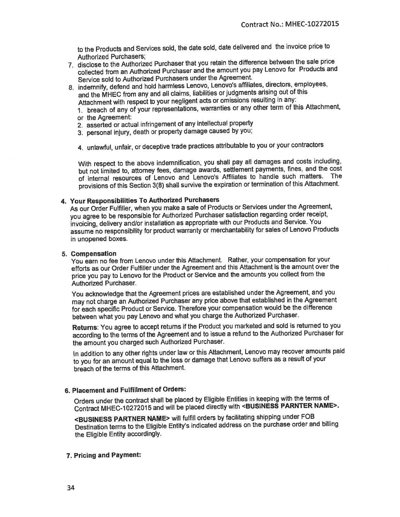to the Products and Services sold, the date sold, date delivered and the invoice price to **Authorized Purchasers;** 

- 7. disclose to the Authorized Purchaser that you retain the difference between the sale price collected from an Authorized Purchaser and the amount you pay Lenovo for Products and Service sold to Authorized Purchasers under the Agreement.
- 8. indemnify, defend and hold harmless Lenovo, Lenovo's affiliates, directors, employees, and the MHEC from any and all claims, liabilities or judgments arising out of this Attachment with respect to your negligent acts or omissions resulting in any:
	- 1. breach of any of your representations, warranties or any other term of this Attachment, or the Agreement:
	- 2. asserted or actual infringement of any intellectual property
	- 3. personal injury, death or property damage caused by you;
	- 4. unlawful, unfair, or deceptive trade practices attributable to you or your contractors

With respect to the above indemnification, you shall pay all damages and costs including, but not limited to, attorney fees, damage awards, settlement payments, fines, and the cost of internal resources of Lenovo and Lenovo's Affiliates to handle such matters. The provisions of this Section 3(8) shall survive the expiration or termination of this Attachment.

#### 4. Your Responsibilities To Authorized Purchasers

As our Order Fulfiller, when you make a sale of Products or Services under the Agreement, you agree to be responsible for Authorized Purchaser satisfaction regarding order receipt, invoicing, delivery and/or installation as appropriate with our Products and Service. You assume no responsibility for product warranty or merchantability for sales of Lenovo Products in unopened boxes.

#### 5. Compensation

You earn no fee from Lenovo under this Attachment. Rather, your compensation for your efforts as our Order Fulfiller under the Agreement and this Attachment is the amount over the price you pay to Lenovo for the Product or Service and the amounts you collect from the Authorized Purchaser.

You acknowledge that the Agreement prices are established under the Agreement, and you may not charge an Authorized Purchaser any price above that established in the Agreement for each specific Product or Service. Therefore your compensation would be the difference between what you pay Lenovo and what you charge the Authorized Purchaser.

Returns: You agree to accept returns if the Product you marketed and sold is returned to you according to the terms of the Agreement and to issue a refund to the Authorized Purchaser for the amount you charged such Authorized Purchaser.

In addition to any other rights under law or this Attachment, Lenovo may recover amounts paid to you for an amount equal to the loss or damage that Lenovo suffers as a result of your breach of the terms of this Attachment.

#### 6. Placement and Fulfillment of Orders:

Orders under the contract shall be placed by Eligible Entities in keeping with the terms of Contract MHEC-10272015 and will be placed directly with <BUSINESS PARNTER NAME>.

<BUSINESS PARTNER NAME> will fulfill orders by facilitating shipping under FOB Destination terms to the Eligible Entity's indicated address on the purchase order and billing the Eligible Entity accordingly.

#### 7. Pricing and Payment: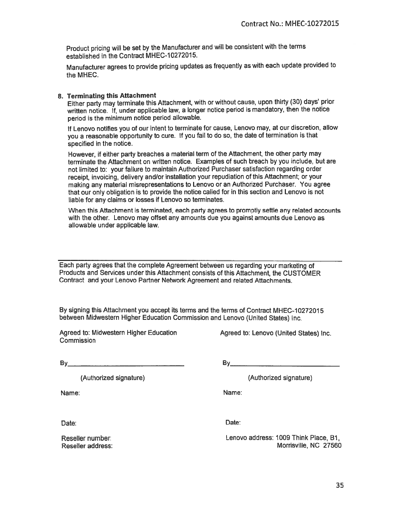Product pricing will be set by the Manufacturer and will be consistent with the terms established in the Contract MHEC-10272015.

Manufacturer agrees to provide pricing updates as frequently as with each update provided to the MHEC.

#### 8. Terminating this Attachment

Either party may terminate this Attachment, with or without cause, upon thirty (30) days' prior written notice. If, under applicable law, a longer notice period is mandatory, then the notice period is the minimum notice period allowable.

If Lenovo notifies you of our intent to terminate for cause, Lenovo may, at our discretion, allow you a reasonable opportunity to cure. If you fail to do so, the date of termination is that specified in the notice.

However, if either party breaches a material term of the Attachment, the other party may terminate the Attachment on written notice. Examples of such breach by you include, but are not limited to: your failure to maintain Authorized Purchaser satisfaction regarding order receipt, invoicing, delivery and/or installation your repudiation of this Attachment; or your making any material misrepresentations to Lenovo or an Authorized Purchaser. You agree that our only obligation is to provide the notice called for in this section and Lenovo is not liable for any claims or losses if Lenovo so terminates.

When this Attachment is terminated, each party agrees to promptly settle any related accounts with the other. Lenovo may offset any amounts due you against amounts due Lenovo as allowable under applicable law.

Each party agrees that the complete Agreement between us regarding your marketing of Products and Services under this Attachment consists of this Attachment, the CUSTOMER Contract and your Lenovo Partner Network Agreement and related Attachments.

By signing this Attachment you accept its terms and the terms of Contract MHEC-10272015 between Midwestern Higher Education Commission and Lenovo (United States) Inc.

Agreed to: Midwestern Higher Education Commission

Agreed to: Lenovo (United States) Inc.

 $By$ 

(Authorized signature)

Name:

 $By$ 

(Authorized signature)

Name:

Date:

Date:

Lenovo address: 1009 Think Place, B1, Morrisville, NC 27560

Reseller number: Reseller address:

35